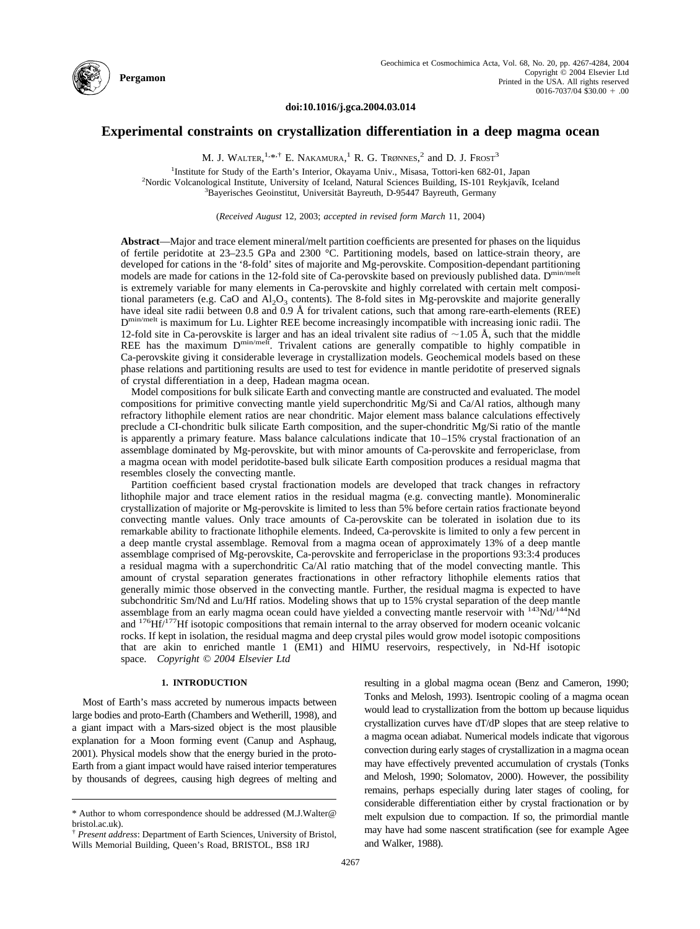

**doi:10.1016/j.gca.2004.03.014**

# **Experimental constraints on crystallization differentiation in a deep magma ocean**

M. J. WALTER,  $^{1,*,+}$  E. NAKAMURA,  $^{1}$  R. G. Trønnes,  $^{2}$  and D. J. Frost<sup>3</sup>

<sup>1</sup>Institute for Study of the Earth's Interior, Okayama Univ., Misasa, Tottori-ken 682-01, Japan<br><sup>2</sup>Nordie Velennelogical Institute University of Joaland, Natural Sciences Building, IS 101 Beykjavík <sup>2</sup>Nordic Volcanological Institute, University of Iceland, Natural Sciences Building, IS-101 Reykjavík, Iceland Bayerisches Geoinstitut, Universität Bayreuth, D-95447 Bayreuth, Germany

(*Received August* 12, 2003; *accepted in revised form March* 11, 2004)

**Abstract**—Major and trace element mineral/melt partition coefficients are presented for phases on the liquidus of fertile peridotite at 23–23.5 GPa and 2300 °C. Partitioning models, based on lattice-strain theory, are developed for cations in the '8-fold' sites of majorite and Mg-perovskite. Composition-dependant partitioning models are made for cations in the 12-fold site of Ca-perovskite based on previously published data. Dmin/melt is extremely variable for many elements in Ca-perovskite and highly correlated with certain melt compositional parameters (e.g. CaO and  $A_1O_3$  contents). The 8-fold sites in Mg-perovskite and majorite generally have ideal site radii between 0.8 and 0.9 Å for trivalent cations, such that among rare-earth-elements (REE) D<sup>min/melt</sup> is maximum for Lu. Lighter REE become increasingly incompatible with increasing ionic radii. The 12-fold site in Ca-perovskite is larger and has an ideal trivalent site radius of  $\sim$ 1.05 Å, such that the middle REE has the maximum D<sup>min/melt</sup>. Trivalent cations are generally compatible to highly compatible in Ca-perovskite giving it considerable leverage in crystallization models. Geochemical models based on these phase relations and partitioning results are used to test for evidence in mantle peridotite of preserved signals of crystal differentiation in a deep, Hadean magma ocean.

Model compositions for bulk silicate Earth and convecting mantle are constructed and evaluated. The model compositions for primitive convecting mantle yield superchondritic Mg/Si and Ca/Al ratios, although many refractory lithophile element ratios are near chondritic. Major element mass balance calculations effectively preclude a CI-chondritic bulk silicate Earth composition, and the super-chondritic Mg/Si ratio of the mantle is apparently a primary feature. Mass balance calculations indicate that 10–15% crystal fractionation of an assemblage dominated by Mg-perovskite, but with minor amounts of Ca-perovskite and ferropericlase, from a magma ocean with model peridotite-based bulk silicate Earth composition produces a residual magma that resembles closely the convecting mantle.

Partition coefficient based crystal fractionation models are developed that track changes in refractory lithophile major and trace element ratios in the residual magma (e.g. convecting mantle). Monomineralic crystallization of majorite or Mg-perovskite is limited to less than 5% before certain ratios fractionate beyond convecting mantle values. Only trace amounts of Ca-perovskite can be tolerated in isolation due to its remarkable ability to fractionate lithophile elements. Indeed, Ca-perovskite is limited to only a few percent in a deep mantle crystal assemblage. Removal from a magma ocean of approximately 13% of a deep mantle assemblage comprised of Mg-perovskite, Ca-perovskite and ferropericlase in the proportions 93:3:4 produces a residual magma with a superchondritic  $C\alpha/Al$  ratio matching that of the model convecting mantle. This amount of crystal separation generates fractionations in other refractory lithophile elements ratios that generally mimic those observed in the convecting mantle. Further, the residual magma is expected to have subchondritic Sm/Nd and Lu/Hf ratios. Modeling shows that up to 15% crystal separation of the deep mantle assemblage from an early magma ocean could have yielded a convecting mantle reservoir with  $^{143}$ Nd/ $^{144}$ Nd and 176Hf/177Hf isotopic compositions that remain internal to the array observed for modern oceanic volcanic rocks. If kept in isolation, the residual magma and deep crystal piles would grow model isotopic compositions that are akin to enriched mantle 1 (EM1) and HIMU reservoirs, respectively, in Nd-Hf isotopic space. *Copyright © 2004 Elsevier Ltd*

#### **1. INTRODUCTION**

Most of Earth's mass accreted by numerous impacts between large bodies and proto-Earth [\(Chambers and Wetherill, 1998\)](#page-16-0), and a giant impact with a Mars-sized object is the most plausible explanation for a Moon forming event [\(Canup and Asphaug,](#page-16-0) [2001\)](#page-16-0). Physical models show that the energy buried in the proto-Earth from a giant impact would have raised interior temperatures by thousands of degrees, causing high degrees of melting and resulting in a global magma ocean [\(Benz and Cameron, 1990;](#page-16-0) [Tonks and Melosh, 1993\)](#page-17-0). Isentropic cooling of a magma ocean would lead to crystallization from the bottom up because liquidus crystallization curves have dT/dP slopes that are steep relative to a magma ocean adiabat. Numerical models indicate that vigorous convection during early stages of crystallization in a magma ocean may have effectively prevented accumulation of crystals [\(Tonks](#page-17-0) [and Melosh, 1990;](#page-17-0) [Solomatov, 2000\)](#page-16-0). However, the possibility remains, perhaps especially during later stages of cooling, for considerable differentiation either by crystal fractionation or by melt expulsion due to compaction. If so, the primordial mantle may have had some nascent stratification (see for example [Agee](#page-16-0) [and Walker, 1988\)](#page-16-0).

<sup>\*</sup> Author to whom correspondence should be addressed (M.J.Walter@ bristol.ac.uk).

<sup>†</sup> *Present address*: Department of Earth Sciences, University of Bristol, Wills Memorial Building, Queen's Road, BRISTOL, BS8 1RJ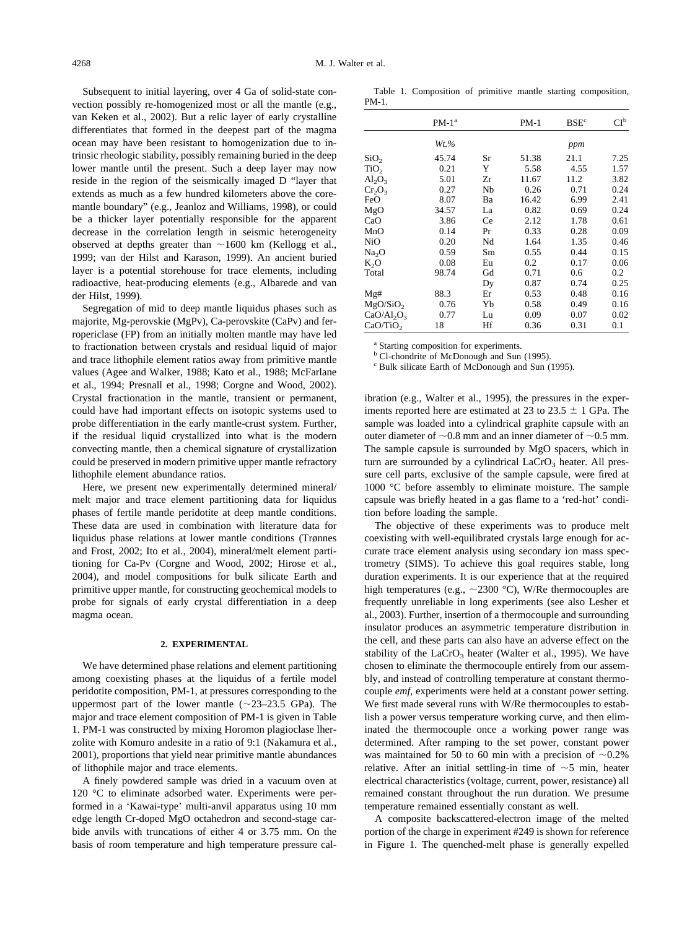Subsequent to initial layering, over 4 Ga of solid-state convection possibly re-homogenized most or all the mantle (e.g., [van Keken et al., 2002\)](#page-17-0). But a relic layer of early crystalline differentiates that formed in the deepest part of the magma ocean may have been resistant to homogenization due to intrinsic rheologic stability, possibly remaining buried in the deep lower mantle until the present. Such a deep layer may now reside in the region of the seismically imaged D "layer that extends as much as a few hundred kilometers above the coremantle boundary" (e.g., [Jeanloz and Williams, 1998\)](#page-16-0), or could be a thicker layer potentially responsible for the apparent decrease in the correlation length in seismic heterogeneity observed at depths greater than  $\sim$ 1600 km [\(Kellogg et al.,](#page-16-0) [1999;](#page-16-0) [van der Hilst and Karason, 1999\)](#page-17-0). An ancient buried layer is a potential storehouse for trace elements, including radioactive, heat-producing elements (e.g., [Albarede and van](#page-17-0) [der Hilst, 1999\)](#page-17-0).

Segregation of mid to deep mantle liquidus phases such as majorite, Mg-perovskie (MgPv), Ca-perovskite (CaPv) and ferropericlase (FP) from an initially molten mantle may have led to fractionation between crystals and residual liquid of major and trace lithophile element ratios away from primitive mantle values [\(Agee and Walker, 1988; Kato et al., 1988;](#page-16-0) [McFarlane](#page-17-0) [et al., 1994; Presnall et al., 1998;](#page-17-0) [Corgne and Wood, 2002\)](#page-16-0). Crystal fractionation in the mantle, transient or permanent, could have had important effects on isotopic systems used to probe differentiation in the early mantle-crust system. Further, if the residual liquid crystallized into what is the modern convecting mantle, then a chemical signature of crystallization could be preserved in modern primitive upper mantle refractory lithophile element abundance ratios.

Here, we present new experimentally determined mineral/ melt major and trace element partitioning data for liquidus phases of fertile mantle peridotite at deep mantle conditions. These data are used in combination with literature data for liquidus phase relations at lower mantle conditions [\(Trønnes](#page-17-0) [and Frost, 2002;](#page-17-0) [Ito et al., 2004\)](#page-16-0), mineral/melt element partitioning for Ca-Pv [\(Corgne and Wood, 2002; Hirose et al.,](#page-16-0) [2004\)](#page-16-0), and model compositions for bulk silicate Earth and primitive upper mantle, for constructing geochemical models to probe for signals of early crystal differentiation in a deep magma ocean.

### **2. EXPERIMENTAL**

We have determined phase relations and element partitioning among coexisting phases at the liquidus of a fertile model peridotite composition, PM-1, at pressures corresponding to the uppermost part of the lower mantle  $(\sim 23-23.5 \text{ GPa})$ . The major and trace element composition of PM-1 is given in Table 1. PM-1 was constructed by mixing Horomon plagioclase lherzolite with Komuro andesite in a ratio of 9:1 [\(Nakamura et al.,](#page-17-0) [2001\)](#page-17-0), proportions that yield near primitive mantle abundances of lithophile major and trace elements.

A finely powdered sample was dried in a vacuum oven at 120 °C to eliminate adsorbed water. Experiments were performed in a 'Kawai-type' multi-anvil apparatus using 10 mm edge length Cr-doped MgO octahedron and second-stage carbide anvils with truncations of either 4 or 3.75 mm. On the basis of room temperature and high temperature pressure cal-

Table 1. Composition of primitive mantle starting composition, PM-1.

|                      | $PM-1a$  |    | $PM-1$ | BSE <sup>c</sup> | $Cl^b$ |
|----------------------|----------|----|--------|------------------|--------|
|                      | $Wt. \%$ |    |        | ppm              |        |
| SiO <sub>2</sub>     | 45.74    | Sr | 51.38  | 21.1             | 7.25   |
| TiO <sub>2</sub>     | 0.21     | Y  | 5.58   | 4.55             | 1.57   |
| $Al_2O_3$            | 5.01     | Zr | 11.67  | 11.2             | 3.82   |
| $Cr_2O_3$            | 0.27     | Nb | 0.26   | 0.71             | 0.24   |
| FeO                  | 8.07     | Ba | 16.42  | 6.99             | 2.41   |
| MgO                  | 34.57    | La | 0.82   | 0.69             | 0.24   |
| CaO                  | 3.86     | Ce | 2.12   | 1.78             | 0.61   |
| MnO                  | 0.14     | Pr | 0.33   | 0.28             | 0.09   |
| NiO                  | 0.20     | Nd | 1.64   | 1.35             | 0.46   |
| Na <sub>2</sub> O    | 0.59     | Sm | 0.55   | 0.44             | 0.15   |
| $K_2O$               | 0.08     | Eu | 0.2    | 0.17             | 0.06   |
| Total                | 98.74    | Gd | 0.71   | 0.6              | 0.2    |
|                      |          | Dy | 0.87   | 0.74             | 0.25   |
| Mg#                  | 88.3     | Er | 0.53   | 0.48             | 0.16   |
| MgO/SiO <sub>2</sub> | 0.76     | Yb | 0.58   | 0.49             | 0.16   |
| $CaO/Al_2O_3$        | 0.77     | Lu | 0.09   | 0.07             | 0.02   |
| CaO/TiO <sub>2</sub> | 18       | Hf | 0.36   | 0.31             | 0.1    |

<sup>a</sup> Starting composition for experiments.

<sup>b</sup> Cl-chondrite of McDonough and Sun (1995).

<sup>c</sup> Bulk silicate Earth of McDonough and Sun (1995).

ibration (e.g., [Walter et al., 1995\)](#page-17-0), the pressures in the experiments reported here are estimated at 23 to 23.5  $\pm$  1 GPa. The sample was loaded into a cylindrical graphite capsule with an outer diameter of  $\sim 0.8$  mm and an inner diameter of  $\sim 0.5$  mm. The sample capsule is surrounded by MgO spacers, which in turn are surrounded by a cylindrical  $LaCrO<sub>3</sub>$  heater. All pressure cell parts, exclusive of the sample capsule, were fired at 1000 °C before assembly to eliminate moisture. The sample capsule was briefly heated in a gas flame to a 'red-hot' condition before loading the sample.

The objective of these experiments was to produce melt coexisting with well-equilibrated crystals large enough for accurate trace element analysis using secondary ion mass spectrometry (SIMS). To achieve this goal requires stable, long duration experiments. It is our experience that at the required high temperatures (e.g.,  $\sim$  2300 °C), W/Re thermocouples are frequently unreliable in long experiments (see also [Lesher et](#page-17-0) [al., 2003\)](#page-17-0). Further, insertion of a thermocouple and surrounding insulator produces an asymmetric temperature distribution in the cell, and these parts can also have an adverse effect on the stability of the  $LaCrO<sub>3</sub>$  heater [\(Walter et al., 1995\)](#page-17-0). We have chosen to eliminate the thermocouple entirely from our assembly, and instead of controlling temperature at constant thermocouple *emf,* experiments were held at a constant power setting. We first made several runs with W/Re thermocouples to establish a power versus temperature working curve, and then eliminated the thermocouple once a working power range was determined. After ramping to the set power, constant power was maintained for 50 to 60 min with a precision of  $\sim 0.2\%$ relative. After an initial settling-in time of  $\sim$  5 min, heater electrical characteristics (voltage, current, power, resistance) all remained constant throughout the run duration. We presume temperature remained essentially constant as well.

A composite backscattered-electron image of the melted portion of the charge in experiment #249 is shown for reference in [Figure 1.](#page-2-0) The quenched-melt phase is generally expelled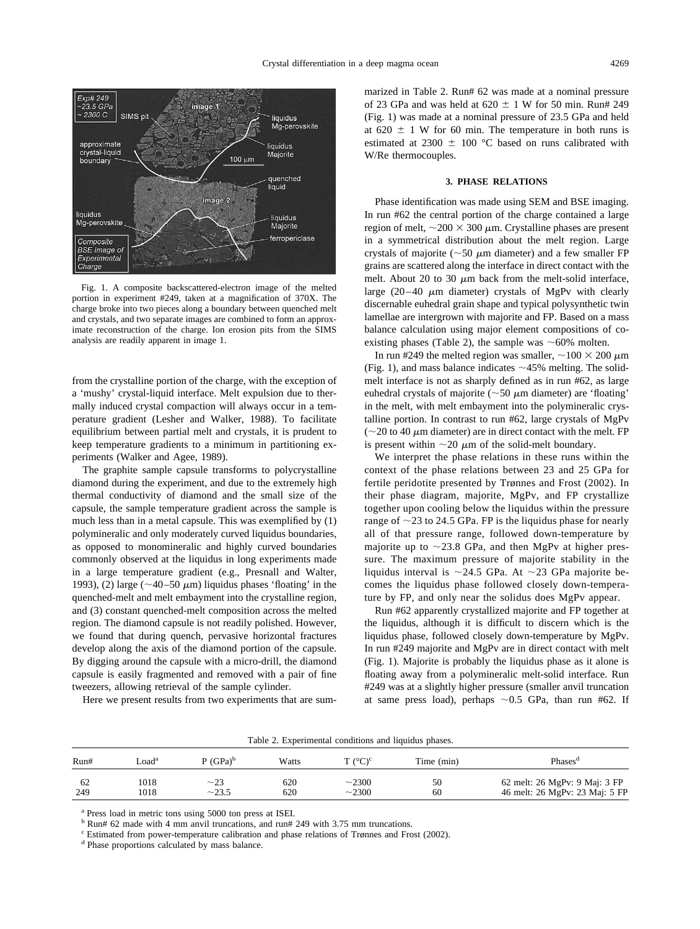<span id="page-2-0"></span>

Fig. 1. A composite backscattered-electron image of the melted portion in experiment #249, taken at a magnification of 370X. The charge broke into two pieces along a boundary between quenched melt and crystals, and two separate images are combined to form an approximate reconstruction of the charge. Ion erosion pits from the SIMS analysis are readily apparent in image 1.

from the crystalline portion of the charge, with the exception of a 'mushy' crystal-liquid interface. Melt expulsion due to thermally induced crystal compaction will always occur in a temperature gradient [\(Lesher and Walker, 1988\)](#page-17-0). To facilitate equilibrium between partial melt and crystals, it is prudent to keep temperature gradients to a minimum in partitioning experiments [\(Walker and Agee, 1989\)](#page-17-0).

The graphite sample capsule transforms to polycrystalline diamond during the experiment, and due to the extremely high thermal conductivity of diamond and the small size of the capsule, the sample temperature gradient across the sample is much less than in a metal capsule. This was exemplified by (1) polymineralic and only moderately curved liquidus boundaries, as opposed to monomineralic and highly curved boundaries commonly observed at the liquidus in long experiments made in a large temperature gradient (e.g., [Presnall and Walter,](#page-17-0) [1993\)](#page-17-0), (2) large ( $\sim$ 40–50  $\mu$ m) liquidus phases 'floating' in the quenched-melt and melt embayment into the crystalline region, and (3) constant quenched-melt composition across the melted region. The diamond capsule is not readily polished. However, we found that during quench, pervasive horizontal fractures develop along the axis of the diamond portion of the capsule. By digging around the capsule with a micro-drill, the diamond capsule is easily fragmented and removed with a pair of fine tweezers, allowing retrieval of the sample cylinder.

Here we present results from two experiments that are sum-

marized in Table 2. Run# 62 was made at a nominal pressure of 23 GPa and was held at 620  $\pm$  1 W for 50 min. Run# 249 (Fig. 1) was made at a nominal pressure of 23.5 GPa and held at 620  $\pm$  1 W for 60 min. The temperature in both runs is estimated at 2300  $\pm$  100 °C based on runs calibrated with W/Re thermocouples.

#### **3. PHASE RELATIONS**

Phase identification was made using SEM and BSE imaging. In run #62 the central portion of the charge contained a large region of melt,  $\sim$ 200  $\times$  300  $\mu$ m. Crystalline phases are present in a symmetrical distribution about the melt region. Large crystals of majorite ( $\sim$  50  $\mu$ m diameter) and a few smaller FP grains are scattered along the interface in direct contact with the melt. About 20 to 30  $\mu$ m back from the melt-solid interface, large (20–40  $\mu$ m diameter) crystals of MgPv with clearly discernable euhedral grain shape and typical polysynthetic twin lamellae are intergrown with majorite and FP. Based on a mass balance calculation using major element compositions of coexisting phases (Table 2), the sample was  $~60\%$  molten.

In run #249 the melted region was smaller,  $\sim$ 100  $\times$  200  $\mu$ m (Fig. 1), and mass balance indicates  $\sim$  45% melting. The solidmelt interface is not as sharply defined as in run #62, as large euhedral crystals of majorite ( $\sim$ 50  $\mu$ m diameter) are 'floating' in the melt, with melt embayment into the polymineralic crystalline portion. In contrast to run #62, large crystals of MgPv ( $\sim$ 20 to 40  $\mu$ m diameter) are in direct contact with the melt. FP is present within  $\sim$  20  $\mu$ m of the solid-melt boundary.

We interpret the phase relations in these runs within the context of the phase relations between 23 and 25 GPa for fertile peridotite presented by [Trønnes and Frost \(2002\).](#page-17-0) In their phase diagram, majorite, MgPv, and FP crystallize together upon cooling below the liquidus within the pressure range of  $\sim$ 23 to 24.5 GPa. FP is the liquidus phase for nearly all of that pressure range, followed down-temperature by majorite up to  $\sim$ 23.8 GPa, and then MgPv at higher pressure. The maximum pressure of majorite stability in the liquidus interval is  $\sim$ 24.5 GPa. At  $\sim$ 23 GPa majorite becomes the liquidus phase followed closely down-temperature by FP, and only near the solidus does MgPv appear.

Run #62 apparently crystallized majorite and FP together at the liquidus, although it is difficult to discern which is the liquidus phase, followed closely down-temperature by MgPv. In run #249 majorite and MgPv are in direct contact with melt (Fig. 1). Majorite is probably the liquidus phase as it alone is floating away from a polymineralic melt-solid interface. Run #249 was at a slightly higher pressure (smaller anvil truncation at same press load), perhaps  $\sim 0.5$  GPa, than run #62. If

| Table 2. Experimental conditions and liquidus phases. |              |                    |            |                            |            |                                                                 |  |  |  |
|-------------------------------------------------------|--------------|--------------------|------------|----------------------------|------------|-----------------------------------------------------------------|--|--|--|
| Run#                                                  | ∟oadª        | $P(GPa)^b$         | Watts      | $T (^{\circ}C)^{\circ}$    | Time (min) | Phases <sup>a</sup>                                             |  |  |  |
| -62<br>249                                            | 1018<br>1018 | $\sim$ 23<br>~23.5 | 620<br>620 | $\sim$ 2300<br>$\sim$ 2300 | 50<br>60   | 62 melt: 26 MgPv: 9 Maj: 3 FP<br>46 melt: 26 MgPv: 23 Maj: 5 FP |  |  |  |

<sup>a</sup> Press load in metric tons using 5000 ton press at ISEI.

<sup>b</sup> Run# 62 made with 4 mm anvil truncations, and run# 249 with 3.75 mm truncations.

 $\degree$  Estimated from power-temperature calibration and phase relations of Trønnes and Frost (2002).  $\degree$  Phase proportions calculated by mass balance.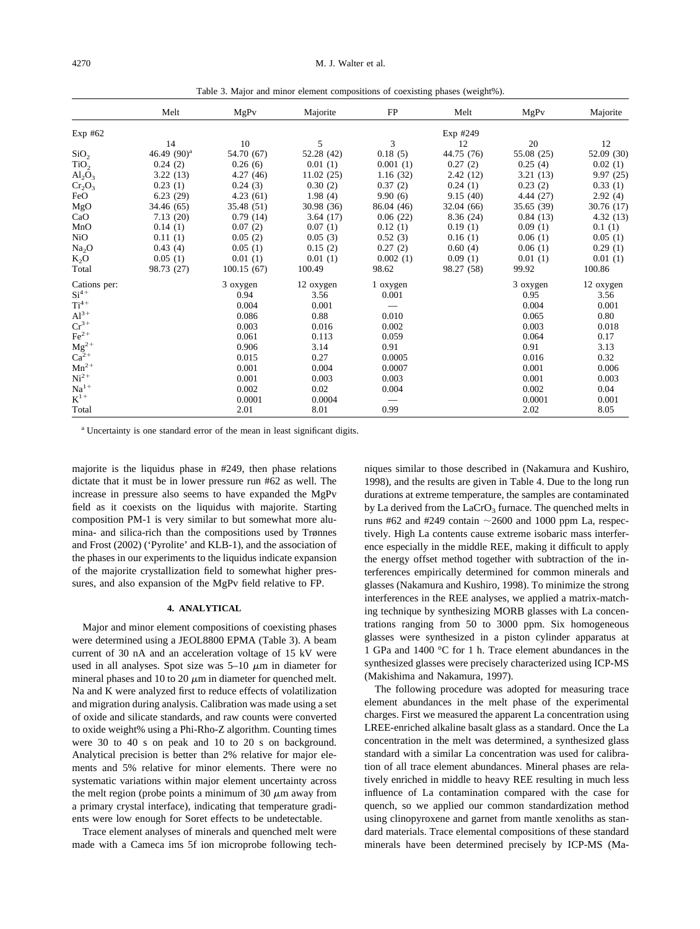Table 3. Major and minor element compositions of coexisting phases (weight%).

|                         | Melt           | MgPv       | Majorite   | FP         | Melt       | MgPv       | Majorite   |
|-------------------------|----------------|------------|------------|------------|------------|------------|------------|
| Exp#62                  |                |            |            |            | Exp #249   |            |            |
|                         | 14             | 10         | 5          | 3          | 12         | 20         | 12         |
| SiO <sub>2</sub>        | 46.49 $(90)^a$ | 54.70 (67) | 52.28 (42) | 0.18(5)    | 44.75 (76) | 55.08 (25) | 52.09 (30) |
| TiO <sub>2</sub>        | 0.24(2)        | 0.26(6)    | 0.01(1)    | 0.001(1)   | 0.27(2)    | 0.25(4)    | 0.02(1)    |
| $\text{Al}_2\text{O}_3$ | 3.22(13)       | 4.27(46)   | 11.02(25)  | 1.16(32)   | 2.42(12)   | 3.21(13)   | 9.97(25)   |
| $Cr_2O_3$               | 0.23(1)        | 0.24(3)    | 0.30(2)    | 0.37(2)    | 0.24(1)    | 0.23(2)    | 0.33(1)    |
| FeO                     | 6.23(29)       | 4.23(61)   | 1.98(4)    | 9.90(6)    | 9.15(40)   | 4.44(27)   | 2.92(4)    |
| MgO                     | 34.46 (65)     | 35.48 (51) | 30.98(36)  | 86.04 (46) | 32.04 (66) | 35.65(39)  | 30.76(17)  |
| CaO                     | 7.13(20)       | 0.79(14)   | 3.64(17)   | 0.06(22)   | 8.36(24)   | 0.84(13)   | 4.32(13)   |
| MnO                     | 0.14(1)        | 0.07(2)    | 0.07(1)    | 0.12(1)    | 0.19(1)    | 0.09(1)    | 0.1(1)     |
| NiO                     | 0.11(1)        | 0.05(2)    | 0.05(3)    | 0.52(3)    | 0.16(1)    | 0.06(1)    | 0.05(1)    |
| Na <sub>2</sub> O       | 0.43(4)        | 0.05(1)    | 0.15(2)    | 0.27(2)    | 0.60(4)    | 0.06(1)    | 0.29(1)    |
| $K_2O$                  | 0.05(1)        | 0.01(1)    | 0.01(1)    | 0.002(1)   | 0.09(1)    | 0.01(1)    | 0.01(1)    |
| Total                   | 98.73 (27)     | 100.15(67) | 100.49     | 98.62      | 98.27 (58) | 99.92      | 100.86     |
| Cations per:            |                | 3 oxygen   | 12 oxygen  | 1 oxygen   |            | 3 oxygen   | 12 oxygen  |
| $Si4+$                  |                | 0.94       | 3.56       | 0.001      |            | 0.95       | 3.56       |
| $Ti^{4+}$               |                | 0.004      | 0.001      |            |            | 0.004      | 0.001      |
| $Al^{3+}$               |                | 0.086      | 0.88       | 0.010      |            | 0.065      | 0.80       |
| $\mathrm{Cr^{3+}}$      |                | 0.003      | 0.016      | 0.002      |            | 0.003      | 0.018      |
| $\rm Fe^{2+}$           |                | 0.061      | 0.113      | 0.059      |            | 0.064      | 0.17       |
| $\mathbf{Mg}^{2+}_{2+}$ |                | 0.906      | 3.14       | 0.91       |            | 0.91       | 3.13       |
|                         |                | 0.015      | 0.27       | 0.0005     |            | 0.016      | 0.32       |
| ${\rm Mn}^{2+}$         |                | 0.001      | 0.004      | 0.0007     |            | 0.001      | 0.006      |
| $\mathrm{Ni}^{2+}$      |                | 0.001      | 0.003      | 0.003      |            | 0.001      | 0.003      |
| $\rm Na^{1+}$           |                | 0.002      | 0.02       | 0.004      |            | 0.002      | 0.04       |
| $K^{1+}$                |                | 0.0001     | 0.0004     |            |            | 0.0001     | 0.001      |
| Total                   |                | 2.01       | 8.01       | 0.99       |            | 2.02       | 8.05       |

<sup>a</sup> Uncertainty is one standard error of the mean in least significant digits.

majorite is the liquidus phase in #249, then phase relations dictate that it must be in lower pressure run #62 as well. The increase in pressure also seems to have expanded the MgPv field as it coexists on the liquidus with majorite. Starting composition PM-1 is very similar to but somewhat more alumina- and silica-rich than the compositions used by [Trønnes](#page-17-0) [and Frost \(2002\)](#page-17-0) ('Pyrolite' and KLB-1), and the association of the phases in our experiments to the liquidus indicate expansion of the majorite crystallization field to somewhat higher pressures, and also expansion of the MgPv field relative to FP.

### **4. ANALYTICAL**

Major and minor element compositions of coexisting phases were determined using a JEOL8800 EPMA (Table 3). A beam current of 30 nA and an acceleration voltage of 15 kV were used in all analyses. Spot size was  $5-10 \mu m$  in diameter for mineral phases and 10 to 20  $\mu$ m in diameter for quenched melt. Na and K were analyzed first to reduce effects of volatilization and migration during analysis. Calibration was made using a set of oxide and silicate standards, and raw counts were converted to oxide weight% using a Phi-Rho-Z algorithm. Counting times were 30 to 40 s on peak and 10 to 20 s on background. Analytical precision is better than 2% relative for major elements and 5% relative for minor elements. There were no systematic variations within major element uncertainty across the melt region (probe points a minimum of 30  $\mu$ m away from a primary crystal interface), indicating that temperature gradients were low enough for Soret effects to be undetectable.

Trace element analyses of minerals and quenched melt were made with a Cameca ims 5f ion microprobe following tech-

niques similar to those described in [\(Nakamura and Kushiro,](#page-17-0) [1998\)](#page-17-0), and the results are given in [Table 4.](#page-4-0) Due to the long run durations at extreme temperature, the samples are contaminated by La derived from the  $LaCrO<sub>3</sub>$  furnace. The quenched melts in runs #62 and #249 contain  $\sim$ 2600 and 1000 ppm La, respectively. High La contents cause extreme isobaric mass interference especially in the middle REE, making it difficult to apply the energy offset method together with subtraction of the interferences empirically determined for common minerals and glasses [\(Nakamura and Kushiro, 1998\)](#page-17-0). To minimize the strong interferences in the REE analyses, we applied a matrix-matching technique by synthesizing MORB glasses with La concentrations ranging from 50 to 3000 ppm. Six homogeneous glasses were synthesized in a piston cylinder apparatus at 1 GPa and 1400 °C for 1 h. Trace element abundances in the synthesized glasses were precisely characterized using ICP-MS [\(Makishima and Nakamura, 1997\)](#page-17-0).

The following procedure was adopted for measuring trace element abundances in the melt phase of the experimental charges. First we measured the apparent La concentration using LREE-enriched alkaline basalt glass as a standard. Once the La concentration in the melt was determined, a synthesized glass standard with a similar La concentration was used for calibration of all trace element abundances. Mineral phases are relatively enriched in middle to heavy REE resulting in much less influence of La contamination compared with the case for quench, so we applied our common standardization method using clinopyroxene and garnet from mantle xenoliths as standard materials. Trace elemental compositions of these standard minerals have been determined precisely by ICP-MS (Ma-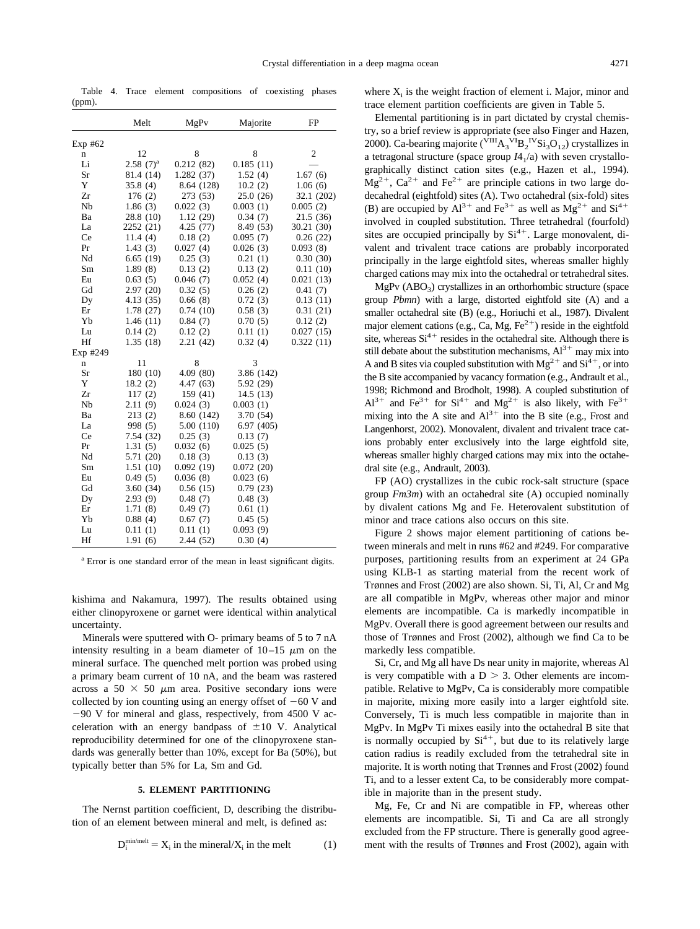<span id="page-4-0"></span>Table 4. Trace element compositions of coexisting phases (ppm).

|          | Melt           | MgPv       | Majorite   | FP           |
|----------|----------------|------------|------------|--------------|
| Exp #62  |                |            |            |              |
| n        | 12             | 8          | 8          | $\mathbf{2}$ |
| Li       | $2.58$ $(7)^a$ | 0.212(82)  | 0.185(11)  |              |
| Sr       | 81.4 (14)      | 1.282(37)  | 1.52(4)    | 1.67(6)      |
| Y        | 35.8(4)        | 8.64 (128) | 10.2(2)    | 1.06(6)      |
| Zr       | 176(2)         | 273 (53)   | 25.0(26)   | 32.1 (202)   |
| Nb       | 1.86(3)        | 0.022(3)   | 0.003(1)   | 0.005(2)     |
| Ba       | 28.8 (10)      | 1.12(29)   | 0.34(7)    | 21.5(36)     |
| La       | 2252 (21)      | 4.25(77)   | 8.49 (53)  | 30.21 (30)   |
| Ce       | 11.4(4)        | 0.18(2)    | 0.095(7)   | 0.26(22)     |
| Pr       | 1.43(3)        | 0.027(4)   | 0.026(3)   | 0.093(8)     |
| Nd       | 6.65(19)       | 0.25(3)    | 0.21(1)    | 0.30(30)     |
| Sm       | 1.89(8)        | 0.13(2)    | 0.13(2)    | 0.11(10)     |
| Eu       | 0.63(5)        | 0.046(7)   | 0.052(4)   | 0.021(13)    |
| Gd       | 2.97(20)       | 0.32(5)    | 0.26(2)    | 0.41(7)      |
| Dy       | 4.13 (35)      | 0.66(8)    | 0.72(3)    | 0.13(11)     |
| Er       | 1.78 (27)      | 0.74(10)   | 0.58(3)    | 0.31(21)     |
| Yb       | 1.46(11)       | 0.84(7)    | 0.70(5)    | 0.12(2)      |
| Lu       | 0.14(2)        | 0.12(2)    | 0.11(1)    | 0.027(15)    |
| Hf       | 1.35(18)       | 2.21(42)   | 0.32(4)    | 0.322(11)    |
| Exp #249 |                |            |            |              |
| n        | 11             | 8          | 3          |              |
| Sr       | 180 (10)       | 4.09 (80)  | 3.86 (142) |              |
| Y        | 18.2(2)        | 4.47 (63)  | 5.92 (29)  |              |
| Zr       | 117(2)         | 159 (41)   | 14.5 (13)  |              |
| Nb       | 2.11(9)        | 0.024(3)   | 0.003(1)   |              |
| Ba       | 213(2)         | 8.60 (142) | 3.70 (54)  |              |
| La       | 998 (5)        | 5.00 (110) | 6.97(405)  |              |
| Ce       | 7.54 (32)      | 0.25(3)    | 0.13(7)    |              |
| Pr       | 1.31(5)        | 0.032(6)   | 0.025(5)   |              |
| Nd       | 5.71 (20)      | 0.18(3)    | 0.13(3)    |              |
| Sm       | 1.51(10)       | 0.092(19)  | 0.072(20)  |              |
| Eu       | 0.49(5)        | 0.036(8)   | 0.023(6)   |              |
| Gd       | 3.60(34)       | 0.56(15)   | 0.79(23)   |              |
| Dy       | 2.93(9)        | 0.48(7)    | 0.48(3)    |              |
| Er       | 1.71(8)        | 0.49(7)    | 0.61(1)    |              |
| Yb       | 0.88(4)        | 0.67(7)    | 0.45(5)    |              |
| Lu       | 0.11(1)        | 0.11(1)    | 0.093(9)   |              |
| Hf       | 1.91(6)        | 2.44 (52)  | 0.30(4)    |              |

<sup>a</sup> Error is one standard error of the mean in least significant digits.

[kishima and Nakamura, 1997\)](#page-17-0). The results obtained using either clinopyroxene or garnet were identical within analytical uncertainty.

Minerals were sputtered with O- primary beams of 5 to 7 nA intensity resulting in a beam diameter of  $10-15 \mu m$  on the mineral surface. The quenched melt portion was probed using a primary beam current of 10 nA, and the beam was rastered across a 50  $\times$  50  $\mu$ m area. Positive secondary ions were collected by ion counting using an energy offset of  $-60$  V and  $-90$  V for mineral and glass, respectively, from 4500 V acceleration with an energy bandpass of  $\pm 10$  V. Analytical reproducibility determined for one of the clinopyroxene standards was generally better than 10%, except for Ba (50%), but typically better than 5% for La, Sm and Gd.

### **5. ELEMENT PARTITIONING**

The Nernst partition coefficient, D, describing the distribution of an element between mineral and melt, is defined as:

$$
D_i^{\min/melt} = X_i \text{ in the mineral}/X_i \text{ in the melt} \tag{1}
$$

where  $X_i$  is the weight fraction of element i. Major, minor and trace element partition coefficients are given in [Table 5.](#page-5-0)

Elemental partitioning is in part dictated by crystal chemistry, so a brief review is appropriate (see also [Finger and Hazen,](#page-16-0) [2000\)](#page-16-0). Ca-bearing majorite ( $\sqrt{\rm III}A_3^{\quad}VB_2^{\quad}YSi_3O_{12}$ ) crystallizes in a tetragonal structure (space group  $I4<sub>1</sub>/a$ ) with seven crystallographically distinct cation sites (e.g., [Hazen et al., 1994\)](#page-17-0).  $Mg^{2+}$ ,  $Ca^{2+}$  and Fe<sup>2+</sup> are principle cations in two large dodecahedral (eightfold) sites (A). Two octahedral (six-fold) sites (B) are occupied by  $Al^{3+}$  and  $Fe^{3+}$  as well as  $Mg^{2+}$  and  $Si^{4+}$ involved in coupled substitution. Three tetrahedral (fourfold) sites are occupied principally by  $Si<sup>4+</sup>$ . Large monovalent, divalent and trivalent trace cations are probably incorporated principally in the large eightfold sites, whereas smaller highly charged cations may mix into the octahedral or tetrahedral sites.

 $MgPv (ABO<sub>3</sub>)$  crystallizes in an orthorhombic structure (space group *Pbmn*) with a large, distorted eightfold site (A) and a smaller octahedral site (B) (e.g., [Horiuchi et al., 1987\)](#page-16-0). Divalent major element cations (e.g., Ca, Mg,  $Fe^{2+}$ ) reside in the eightfold site, whereas  $Si<sup>4+</sup>$  resides in the octahedral site. Although there is still debate about the substitution mechanisms,  $Al^{3+}$  may mix into A and B sites via coupled substitution with  $Mg^{2+}$  and  $Si^{4+}$ , or into the B site accompanied by vacancy formation (e.g., [Andrault et al.,](#page-16-0) [1998;](#page-16-0) [Richmond and Brodholt, 1998\)](#page-17-0). A coupled substitution of  $Al^{3+}$  and Fe<sup>3+</sup> for Si<sup>4+</sup> and Mg<sup>2+</sup> is also likely, with Fe<sup>3+</sup> mixing into the A site and  $Al^{3+}$  into the B site (e.g., [Frost and](#page-16-0) [Langenhorst, 2002\)](#page-16-0). Monovalent, divalent and trivalent trace cations probably enter exclusively into the large eightfold site, whereas smaller highly charged cations may mix into the octahedral site (e.g., [Andrault, 2003\)](#page-16-0).

FP (AO) crystallizes in the cubic rock-salt structure (space group *Fm3m*) with an octahedral site (A) occupied nominally by divalent cations Mg and Fe. Heterovalent substitution of minor and trace cations also occurs on this site.

[Figure 2](#page-6-0) shows major element partitioning of cations between minerals and melt in runs #62 and #249. For comparative purposes, partitioning results from an experiment at 24 GPa using KLB-1 as starting material from the recent work of [Trønnes and Frost \(2002\)](#page-17-0) are also shown. Si, Ti, Al, Cr and Mg are all compatible in MgPv, whereas other major and minor elements are incompatible. Ca is markedly incompatible in MgPv. Overall there is good agreement between our results and those of [Trønnes and Frost \(2002\),](#page-17-0) although we find Ca to be markedly less compatible.

Si, Cr, and Mg all have Ds near unity in majorite, whereas Al is very compatible with a  $D > 3$ . Other elements are incompatible. Relative to MgPv, Ca is considerably more compatible in majorite, mixing more easily into a larger eightfold site. Conversely, Ti is much less compatible in majorite than in MgPv. In MgPv Ti mixes easily into the octahedral B site that is normally occupied by  $Si<sup>4+</sup>$ , but due to its relatively large cation radius is readily excluded from the tetrahedral site in majorite. It is worth noting that [Trønnes and Frost \(2002\)](#page-17-0) found Ti, and to a lesser extent Ca, to be considerably more compatible in majorite than in the present study.

Mg, Fe, Cr and Ni are compatible in FP, whereas other elements are incompatible. Si, Ti and Ca are all strongly excluded from the FP structure. There is generally good agreement with the results of [Trønnes and Frost \(2002\),](#page-17-0) again with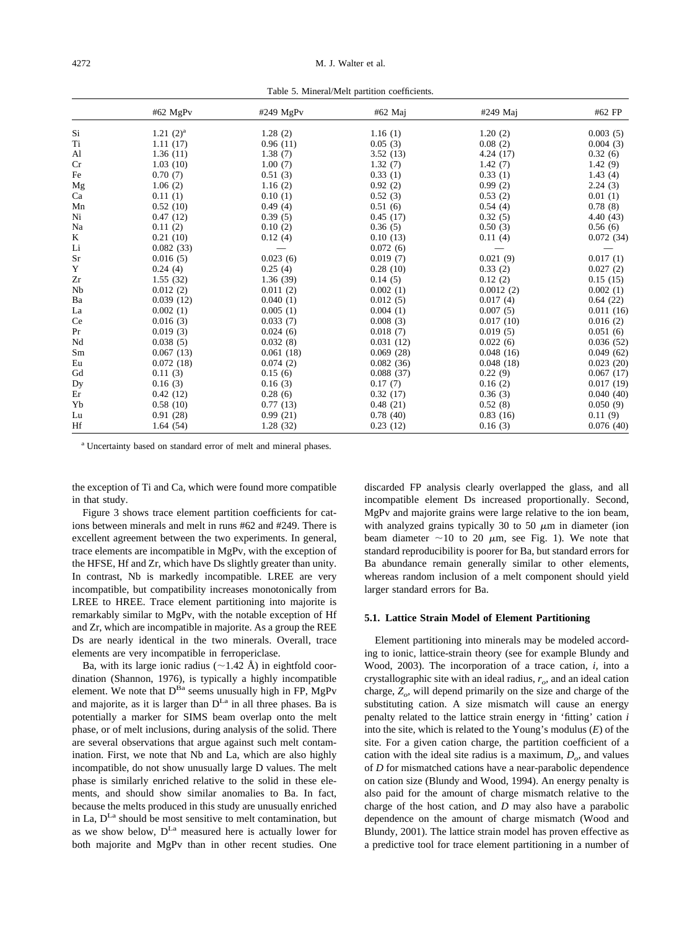Table 5. Mineral/Melt partition coefficients.

<span id="page-5-0"></span>

|    | #62 MgPv     | #249 MgPv | #62 Maj   | #249 Maj  | #62 FP    |
|----|--------------|-----------|-----------|-----------|-----------|
| Si | 1.21 $(2)^a$ | 1.28(2)   | 1.16(1)   | 1.20(2)   | 0.003(5)  |
| Ti | 1.11(17)     | 0.96(11)  | 0.05(3)   | 0.08(2)   | 0.004(3)  |
| Al | 1.36(11)     | 1.38(7)   | 3.52(13)  | 4.24(17)  | 0.32(6)   |
| Cr | 1.03(10)     | 1.00(7)   | 1.32(7)   | 1.42(7)   | 1.42(9)   |
| Fe | 0.70(7)      | 0.51(3)   | 0.33(1)   | 0.33(1)   | 1.43(4)   |
| Mg | 1.06(2)      | 1.16(2)   | 0.92(2)   | 0.99(2)   | 2.24(3)   |
| Ca | 0.11(1)      | 0.10(1)   | 0.52(3)   | 0.53(2)   | 0.01(1)   |
| Mn | 0.52(10)     | 0.49(4)   | 0.51(6)   | 0.54(4)   | 0.78(8)   |
| Ni | 0.47(12)     | 0.39(5)   | 0.45(17)  | 0.32(5)   | 4.40 (43) |
| Na | 0.11(2)      | 0.10(2)   | 0.36(5)   | 0.50(3)   | 0.56(6)   |
| K  | 0.21(10)     | 0.12(4)   | 0.10(13)  | 0.11(4)   | 0.072(34) |
| Li | 0.082(33)    |           | 0.072(6)  |           |           |
| Sr | 0.016(5)     | 0.023(6)  | 0.019(7)  | 0.021(9)  | 0.017(1)  |
| Y  | 0.24(4)      | 0.25(4)   | 0.28(10)  | 0.33(2)   | 0.027(2)  |
| Zr | 1.55(32)     | 1.36(39)  | 0.14(5)   | 0.12(2)   | 0.15(15)  |
| Nb | 0.012(2)     | 0.011(2)  | 0.002(1)  | 0.0012(2) | 0.002(1)  |
| Ba | 0.039(12)    | 0.040(1)  | 0.012(5)  | 0.017(4)  | 0.64(22)  |
| La | 0.002(1)     | 0.005(1)  | 0.004(1)  | 0.007(5)  | 0.011(16) |
| Ce | 0.016(3)     | 0.033(7)  | 0.008(3)  | 0.017(10) | 0.016(2)  |
| Pr | 0.019(3)     | 0.024(6)  | 0.018(7)  | 0.019(5)  | 0.051(6)  |
| Nd | 0.038(5)     | 0.032(8)  | 0.031(12) | 0.022(6)  | 0.036(52) |
| Sm | 0.067(13)    | 0.061(18) | 0.069(28) | 0.048(16) | 0.049(62) |
| Eu | 0.072(18)    | 0.074(2)  | 0.082(36) | 0.048(18) | 0.023(20) |
| Gd | 0.11(3)      | 0.15(6)   | 0.088(37) | 0.22(9)   | 0.067(17) |
| Dy | 0.16(3)      | 0.16(3)   | 0.17(7)   | 0.16(2)   | 0.017(19) |
| Er | 0.42(12)     | 0.28(6)   | 0.32(17)  | 0.36(3)   | 0.040(40) |
| Yb | 0.58(10)     | 0.77(13)  | 0.48(21)  | 0.52(8)   | 0.050(9)  |
| Lu | 0.91(28)     | 0.99(21)  | 0.78(40)  | 0.83(16)  | 0.11(9)   |
| Hf | 1.64(54)     | 1.28(32)  | 0.23(12)  | 0.16(3)   | 0.076(40) |

<sup>a</sup> Uncertainty based on standard error of melt and mineral phases.

the exception of Ti and Ca, which were found more compatible in that study.

[Figure 3](#page-6-0) shows trace element partition coefficients for cations between minerals and melt in runs #62 and #249. There is excellent agreement between the two experiments. In general, trace elements are incompatible in MgPv, with the exception of the HFSE, Hf and Zr, which have Ds slightly greater than unity. In contrast, Nb is markedly incompatible. LREE are very incompatible, but compatibility increases monotonically from LREE to HREE. Trace element partitioning into majorite is remarkably similar to MgPv, with the notable exception of Hf and Zr, which are incompatible in majorite. As a group the REE Ds are nearly identical in the two minerals. Overall, trace elements are very incompatible in ferropericlase.

Ba, with its large ionic radius ( $\sim$ 1.42 Å) in eightfold coordination [\(Shannon, 1976\)](#page-17-0), is typically a highly incompatible element. We note that  $D^{Ba}$  seems unusually high in FP, MgPv and majorite, as it is larger than  $D^{La}$  in all three phases. Ba is potentially a marker for SIMS beam overlap onto the melt phase, or of melt inclusions, during analysis of the solid. There are several observations that argue against such melt contamination. First, we note that Nb and La, which are also highly incompatible, do not show unusually large D values. The melt phase is similarly enriched relative to the solid in these elements, and should show similar anomalies to Ba. In fact, because the melts produced in this study are unusually enriched in La,  $D^{La}$  should be most sensitive to melt contamination, but as we show below,  $D^{La}$  measured here is actually lower for both majorite and MgPv than in other recent studies. One discarded FP analysis clearly overlapped the glass, and all incompatible element Ds increased proportionally. Second, MgPv and majorite grains were large relative to the ion beam, with analyzed grains typically 30 to 50  $\mu$ m in diameter (ion beam diameter  $\sim$ 10 to 20  $\mu$ m, see [Fig. 1\)](#page-2-0). We note that standard reproducibility is poorer for Ba, but standard errors for Ba abundance remain generally similar to other elements, whereas random inclusion of a melt component should yield larger standard errors for Ba.

#### **5.1. Lattice Strain Model of Element Partitioning**

Element partitioning into minerals may be modeled according to ionic, lattice-strain theory (see for example [Blundy and](#page-16-0) [Wood, 2003\)](#page-16-0). The incorporation of a trace cation, *i,* into a crystallographic site with an ideal radius,  $r_{o}$ , and an ideal cation charge,  $Z_{\alpha}$  will depend primarily on the size and charge of the substituting cation. A size mismatch will cause an energy penalty related to the lattice strain energy in 'fitting' cation *i* into the site, which is related to the Young's modulus (*E*) of the site. For a given cation charge, the partition coefficient of a cation with the ideal site radius is a maximum,  $D_{\rho}$  and values of *D* for mismatched cations have a near-parabolic dependence on cation size [\(Blundy and Wood, 1994\)](#page-16-0). An energy penalty is also paid for the amount of charge mismatch relative to the charge of the host cation, and *D* may also have a parabolic dependence on the amount of charge mismatch [\(Wood and](#page-17-0) [Blundy, 2001\)](#page-17-0). The lattice strain model has proven effective as a predictive tool for trace element partitioning in a number of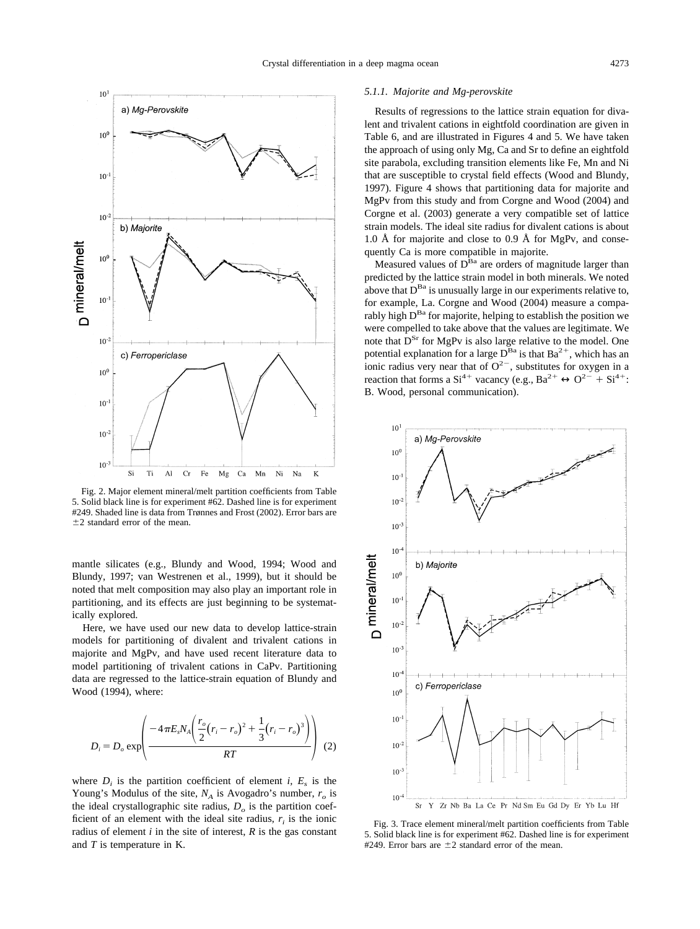<span id="page-6-0"></span>

Fig. 2. Major element mineral/melt partition coefficients from [Table](#page-5-0) [5.](#page-5-0) Solid black line is for experiment #62. Dashed line is for experiment #249. Shaded line is data from [Trønnes and Frost \(2002\).](#page-17-0) Error bars are  $\pm 2$  standard error of the mean.

mantle silicates (e.g., [Blundy and Wood, 1994;](#page-16-0) [Wood and](#page-17-0) [Blundy, 1997; van Westrenen et al., 1999\)](#page-17-0), but it should be noted that melt composition may also play an important role in partitioning, and its effects are just beginning to be systematically explored.

Here, we have used our new data to develop lattice-strain models for partitioning of divalent and trivalent cations in majorite and MgPv, and have used recent literature data to model partitioning of trivalent cations in CaPv. Partitioning data are regressed to the lattice-strain equation of [Blundy and](#page-16-0) [Wood \(1994\),](#page-16-0) where:

$$
D_i = D_o \exp \left( \frac{-4 \pi E_s N_A \left( \frac{r_o}{2} (r_i - r_o)^2 + \frac{1}{3} (r_i - r_o)^3 \right)}{RT} \right) (2)
$$

where  $D_i$  is the partition coefficient of element *i*,  $E_s$  is the Young's Modulus of the site,  $N_A$  is Avogadro's number,  $r_o$  is the ideal crystallographic site radius,  $D<sub>o</sub>$  is the partition coefficient of an element with the ideal site radius,  $r_i$  is the ionic radius of element  $i$  in the site of interest,  $R$  is the gas constant and *T* is temperature in K.

#### *5.1.1. Majorite and Mg-perovskite*

Results of regressions to the lattice strain equation for divalent and trivalent cations in eightfold coordination are given in [Table 6,](#page-7-0) and are illustrated in [Figures 4](#page-7-0) and [5.](#page-8-0) We have taken the approach of using only Mg, Ca and Sr to define an eightfold site parabola, excluding transition elements like Fe, Mn and Ni that are susceptible to crystal field effects [\(Wood and Blundy,](#page-17-0) [1997\)](#page-17-0). [Figure 4](#page-7-0) shows that partitioning data for majorite and MgPv from this study and from [Corgne and Wood \(2004\)](#page-16-0) and [Corgne et al. \(2003\)](#page-16-0) generate a very compatible set of lattice strain models. The ideal site radius for divalent cations is about 1.0 Å for majorite and close to 0.9 Å for MgPv, and consequently Ca is more compatible in majorite.

Measured values of  $D^{Ba}$  are orders of magnitude larger than predicted by the lattice strain model in both minerals. We noted above that  $D^{Ba}$  is unusually large in our experiments relative to, for example, La. [Corgne and Wood \(2004\)](#page-16-0) measure a comparably high  $D^{Ba}$  for majorite, helping to establish the position we were compelled to take above that the values are legitimate. We note that  $D^{Sr}$  for MgPv is also large relative to the model. One potential explanation for a large  $D^{Ba}$  is that  $Ba^{2+}$ , which has an ionic radius very near that of  $O^{2-}$ , substitutes for oxygen in a reaction that forms a  $Si^{4+}$  vacancy (e.g.,  $Ba^{2+} \leftrightarrow O^{2-} + Si^{4+}$ ): B. Wood, personal communication).



Fig. 3. Trace element mineral/melt partition coefficients from [Table](#page-5-0) [5.](#page-5-0) Solid black line is for experiment #62. Dashed line is for experiment #249. Error bars are  $\pm 2$  standard error of the mean.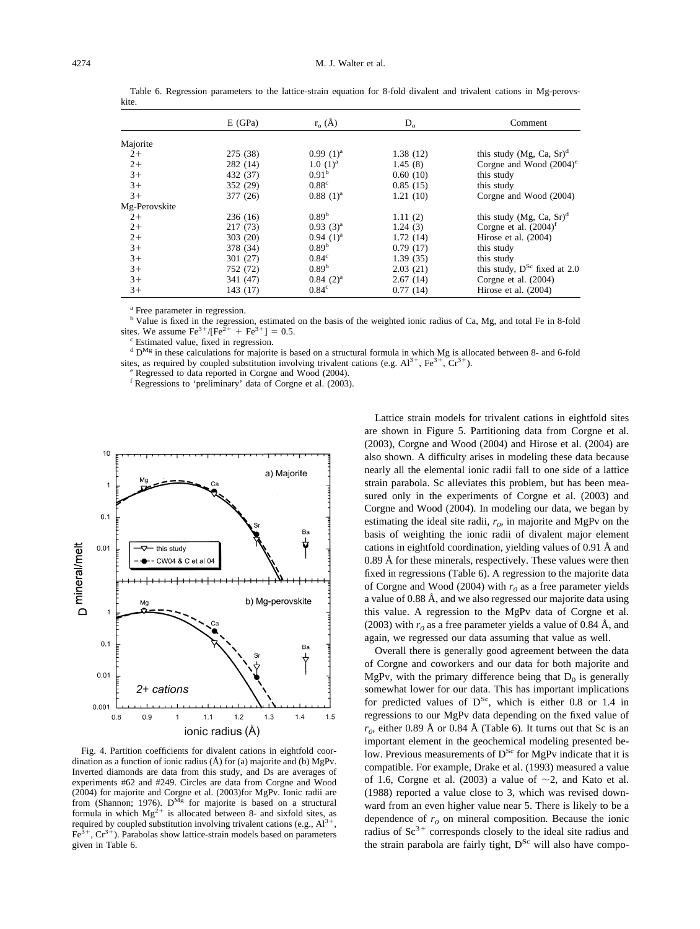|               | E(GPa)   | $r_{o}(\AA)$      | $D_{\alpha}$ | Comment                               |
|---------------|----------|-------------------|--------------|---------------------------------------|
| Majorite      |          |                   |              |                                       |
| $2+$          | 275 (38) | $0.99(1)^{a}$     | 1.38(12)     | this study (Mg, Ca, $Sr)^d$           |
| $2+$          | 282 (14) | $1.0~(1)^a$       | 1.45(8)      | Corgne and Wood $(2004)$ <sup>e</sup> |
| $3+$          | 432 (37) | 0.91 <sup>b</sup> | 0.60(10)     | this study                            |
| $3+$          | 352 (29) | 0.88 <sup>c</sup> | 0.85(15)     | this study                            |
| $3+$          | 377 (26) | $0.88(1)^a$       | 1.21(10)     | Corgne and Wood (2004)                |
| Mg-Perovskite |          |                   |              |                                       |
| $2+$          | 236(16)  | 0.89 <sup>b</sup> | 1.11(2)      | this study (Mg, Ca, $Sr)^d$           |
| $2+$          | 217 (73) | $0.93(3)^{a}$     | 1.24(3)      | Corgne et al. $(2004)^f$              |
| $2+$          | 303(20)  | $0.94(1)^a$       | 1.72(14)     | Hirose et al. $(2004)$                |
| $3+$          | 378 (34) | 0.89 <sup>b</sup> | 0.79(17)     | this study                            |
| $3+$          | 301(27)  | $0.84^{\circ}$    | 1.39(35)     | this study                            |
| $3+$          | 752 (72) | 0.89 <sup>b</sup> | 2.03(21)     | this study, $D^{Sc}$ fixed at 2.0     |
| $3+$          | 341 (47) | $0.84(2)^{a}$     | 2.67(14)     | Corgne et al. $(2004)$                |
| $3+$          | 143 (17) | $0.84^{\circ}$    | 0.77(14)     | Hirose et al. $(2004)$                |

<span id="page-7-0"></span>Table 6. Regression parameters to the lattice-strain equation for 8-fold divalent and trivalent cations in Mg-perovskite.

<sup>a</sup> Free parameter in regression.

<sup>b</sup> Value is fixed in the regression, estimated on the basis of the weighted ionic radius of Ca, Mg, and total Fe in 8-fold sites. We assume  $\text{Fe}^{3+}/\text{[Fe}^{2+} + \text{Fe}^{3+}$ 

<sup>c</sup> Estimated value, fixed in regression.<br><sup>d</sup> D<sup>Mg</sup> in these calculations for majorite is based on a structural formula in which Mg is allocated between 8- and 6-fold sites, as required by coupled substitution involving trivalent cations (e.g.  $Al^{3+}$ ,  $Fe^{3+}$ ,  $Cr^{3+}$ ).<br>
<sup>e</sup> Regressed to data reported in Corgne and Wood (2004).

<sup>f</sup> Regressions to 'preliminary' data of Corgne et al. (2003).



Fig. 4. Partition coefficients for divalent cations in eightfold coordination as a function of ionic radius  $(A)$  for (a) majorite and (b) MgPv. Inverted diamonds are data from this study, and Ds are averages of experiments #62 and #249. Circles are data from [Corgne and Wood](#page-16-0) [\(2004\)](#page-16-0) for majorite and Corgne et al. (2003) for MgPv. Ionic radii are from [\(Shannon; 1976\)](#page-17-0).  $D^{Mg}$  for majorite is based on a structural formula in which  $Mg^{2+}$  is allocated between 8- and sixfold sites, as required by coupled substitution involving trivalent cations (e.g.,  $Al^{3+}$ ,  $Fe<sup>3+</sup>, Cr<sup>3+</sup>$ ). Parabolas show lattice-strain models based on parameters given in Table 6.

Lattice strain models for trivalent cations in eightfold sites are shown in [Figure 5.](#page-8-0) Partitioning data from [Corgne et al.](#page-16-0) [\(2003\), Corgne and Wood \(2004\)](#page-16-0) and [Hirose et al. \(2004\)](#page-16-0) are also shown. A difficulty arises in modeling these data because nearly all the elemental ionic radii fall to one side of a lattice strain parabola. Sc alleviates this problem, but has been measured only in the experiments of [Corgne et al. \(2003\)](#page-16-0) and [Corgne and Wood \(2004\).](#page-16-0) In modeling our data, we began by estimating the ideal site radii,  $r<sub>o</sub>$  in majorite and MgPv on the basis of weighting the ionic radii of divalent major element cations in eightfold coordination, yielding values of 0.91 Å and 0.89 Å for these minerals, respectively. These values were then fixed in regressions (Table 6). A regression to the majorite data of [Corgne and Wood \(2004\)](#page-16-0) with  $r_0$  as a free parameter yields a value of 0.88 Å, and we also regressed our majorite data using this value. A regression to the MgPv data of [Corgne et al.](#page-16-0) [\(2003\)](#page-16-0) with  $r_0$  as a free parameter yields a value of 0.84 Å, and again, we regressed our data assuming that value as well.

Overall there is generally good agreement between the data of Corgne and coworkers and our data for both majorite and MgPv, with the primary difference being that  $D_0$  is generally somewhat lower for our data. This has important implications for predicted values of  $D^{Sc}$ , which is either 0.8 or 1.4 in regressions to our MgPv data depending on the fixed value of  $r_{0}$ , either 0.89 Å or 0.84 Å (Table 6). It turns out that Sc is an important element in the geochemical modeling presented below. Previous measurements of  $D^{Sc}$  for MgPv indicate that it is compatible. For example, [Drake et al. \(1993\)](#page-16-0) measured a value of 1.6, [Corgne et al. \(2003\)](#page-16-0) a value of  $\sim$ 2, and [Kato et al.](#page-16-0) [\(1988\)](#page-16-0) reported a value close to 3, which was revised downward from an even higher value near 5. There is likely to be a dependence of  $r<sub>0</sub>$  on mineral composition. Because the ionic radius of  $Sc^{3+}$  corresponds closely to the ideal site radius and the strain parabola are fairly tight, D<sup>Sc</sup> will also have compo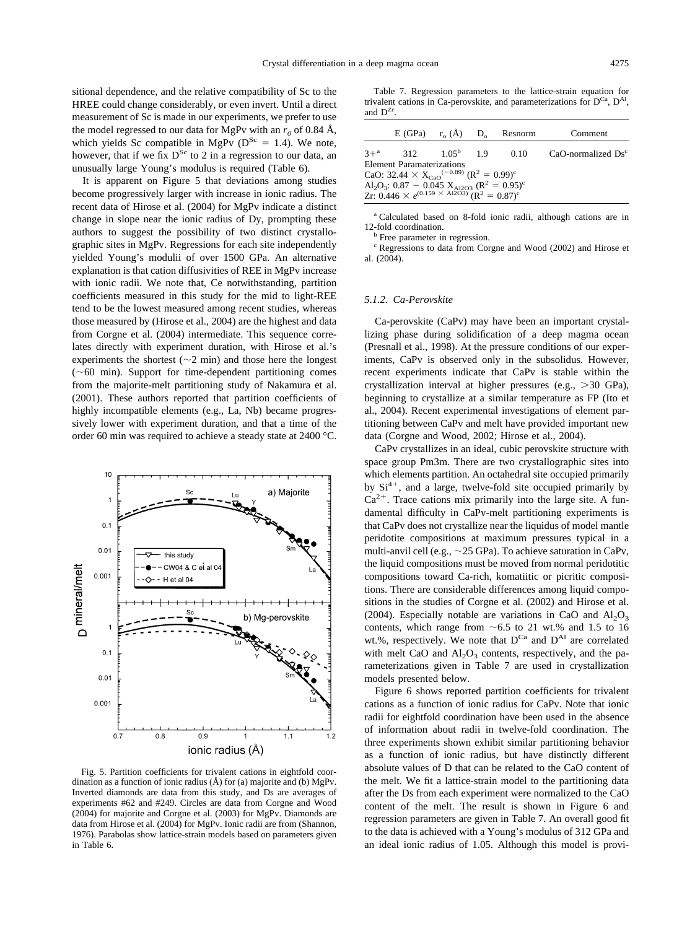<span id="page-8-0"></span>sitional dependence, and the relative compatibility of Sc to the HREE could change considerably, or even invert. Until a direct measurement of Sc is made in our experiments, we prefer to use the model regressed to our data for MgPv with an  $r_0$  of 0.84 Å, which yields Sc compatible in MgPv ( $D^{Sc} = 1.4$ ). We note, however, that if we fix  $D^{Sc}$  to 2 in a regression to our data, an unusually large Young's modulus is required [\(Table 6\)](#page-7-0).

It is apparent on Figure 5 that deviations among studies become progressively larger with increase in ionic radius. The recent data of [Hirose et al. \(2004\)](#page-16-0) for MgPv indicate a distinct change in slope near the ionic radius of Dy, prompting these authors to suggest the possibility of two distinct crystallographic sites in MgPv. Regressions for each site independently yielded Young's modulii of over 1500 GPa. An alternative explanation is that cation diffusivities of REE in MgPv increase with ionic radii. We note that, Ce notwithstanding, partition coefficients measured in this study for the mid to light-REE tend to be the lowest measured among recent studies, whereas those measured by [\(Hirose et al., 2004\)](#page-16-0) are the highest and data from [Corgne et al. \(2004\)](#page-16-0) intermediate. This sequence correlates directly with experiment duration, with Hirose et al.'s experiments the shortest  $(\sim 2 \text{ min})$  and those here the longest  $(\sim 60 \text{ min})$ . Support for time-dependent partitioning comes from the majorite-melt partitioning study of [Nakamura et al.](#page-17-0) [\(2001\)](#page-17-0). These authors reported that partition coefficients of highly incompatible elements (e.g., La, Nb) became progressively lower with experiment duration, and that a time of the order 60 min was required to achieve a steady state at 2400 °C.



Fig. 5. Partition coefficients for trivalent cations in eightfold coordination as a function of ionic radius (Å) for (a) majorite and (b) MgPv. Inverted diamonds are data from this study, and Ds are averages of experiments #62 and #249. Circles are data from [Corgne and Wood](#page-16-0) [\(2004\)](#page-16-0) for majorite and [Corgne et al. \(2003\)](#page-16-0) for MgPv. Diamonds are data from [Hirose et al. \(2004\)](#page-16-0) for MgPv. Ionic radii are from [\(Shannon,](#page-17-0) [1976\)](#page-17-0). Parabolas show lattice-strain models based on parameters given in [Table 6.](#page-7-0)

Table 7. Regression parameters to the lattice-strain equation for trivalent cations in Ca-perovskite, and parameterizations for  $D^{Ca}$ ,  $D^{A}$ and  $D^{Zr}$ 

|                                                                                                |                                                                                              |  |  | $E(GPa)$ $r_{o}(\AA)$ $D_{o}$ Resnorm | Comment                 |  |  |  |  |
|------------------------------------------------------------------------------------------------|----------------------------------------------------------------------------------------------|--|--|---------------------------------------|-------------------------|--|--|--|--|
|                                                                                                | $3+^{a}$ 312 $1.05^{b}$ 1.9 0.10                                                             |  |  |                                       | $CaO$ -normalized $Dsc$ |  |  |  |  |
|                                                                                                | <b>Element Paramaterizations</b>                                                             |  |  |                                       |                         |  |  |  |  |
|                                                                                                | CaO: 32.44 $\times$ X <sub>CaO</sub> <sup>(-0.89)</sup> (R <sup>2</sup> = 0.99) <sup>c</sup> |  |  |                                       |                         |  |  |  |  |
| Al <sub>2</sub> O <sub>3</sub> : 0.87 - 0.045 X <sub>Al2O3</sub> ( $R^2 = 0.95$ ) <sup>c</sup> |                                                                                              |  |  |                                       |                         |  |  |  |  |
|                                                                                                | Zr: $0.446 \times e^{(0.159 \times Al2O3)}$ $(R^2 = 0.87)^c$                                 |  |  |                                       |                         |  |  |  |  |

<sup>a</sup> Calculated based on 8-fold ionic radii, although cations are in 12-fold coordination.<br> $\frac{b}{c}$  Free parameter in regression.

<sup>c</sup> Regressions to data from Corgne and Wood (2002) and Hirose et al. (2004).

#### *5.1.2. Ca-Perovskite*

Ca-perovskite (CaPv) may have been an important crystallizing phase during solidification of a deep magma ocean [\(Presnall et al., 1998\)](#page-17-0). At the pressure conditions of our experiments, CaPv is observed only in the subsolidus. However, recent experiments indicate that CaPv is stable within the crystallization interval at higher pressures (e.g., 30 GPa), beginning to crystallize at a similar temperature as FP [\(Ito et](#page-16-0) [al., 2004\)](#page-16-0). Recent experimental investigations of element partitioning between CaPv and melt have provided important new data [\(Corgne and Wood, 2002; Hirose et al., 2004\)](#page-16-0).

CaPv crystallizes in an ideal, cubic perovskite structure with space group Pm3m. There are two crystallographic sites into which elements partition. An octahedral site occupied primarily by Si<sup>4+</sup>, and a large, twelve-fold site occupied primarily by  $Ca<sup>2+</sup>$ . Trace cations mix primarily into the large site. A fundamental difficulty in CaPv-melt partitioning experiments is that CaPv does not crystallize near the liquidus of model mantle peridotite compositions at maximum pressures typical in a multi-anvil cell (e.g.,  $\sim$  25 GPa). To achieve saturation in CaPv, the liquid compositions must be moved from normal peridotitic compositions toward Ca-rich, komatiitic or picritic compositions. There are considerable differences among liquid compositions in the studies of [Corgne et al. \(2002\)](#page-16-0) and [Hirose et al.](#page-16-0) [\(2004\).](#page-16-0) Especially notable are variations in CaO and  $Al_2O_3$ contents, which range from  $\sim 6.5$  to 21 wt.% and 1.5 to 16 wt.%, respectively. We note that  $D^{Ca}$  and  $D^{Al}$  are correlated with melt CaO and  $Al_2O_3$  contents, respectively, and the parameterizations given in Table 7 are used in crystallization models presented below.

[Figure 6](#page-9-0) shows reported partition coefficients for trivalent cations as a function of ionic radius for CaPv. Note that ionic radii for eightfold coordination have been used in the absence of information about radii in twelve-fold coordination. The three experiments shown exhibit similar partitioning behavior as a function of ionic radius, but have distinctly different absolute values of D that can be related to the CaO content of the melt. We fit a lattice-strain model to the partitioning data after the Ds from each experiment were normalized to the CaO content of the melt. The result is shown in [Figure 6](#page-9-0) and regression parameters are given in Table 7. An overall good fit to the data is achieved with a Young's modulus of 312 GPa and an ideal ionic radius of 1.05. Although this model is provi-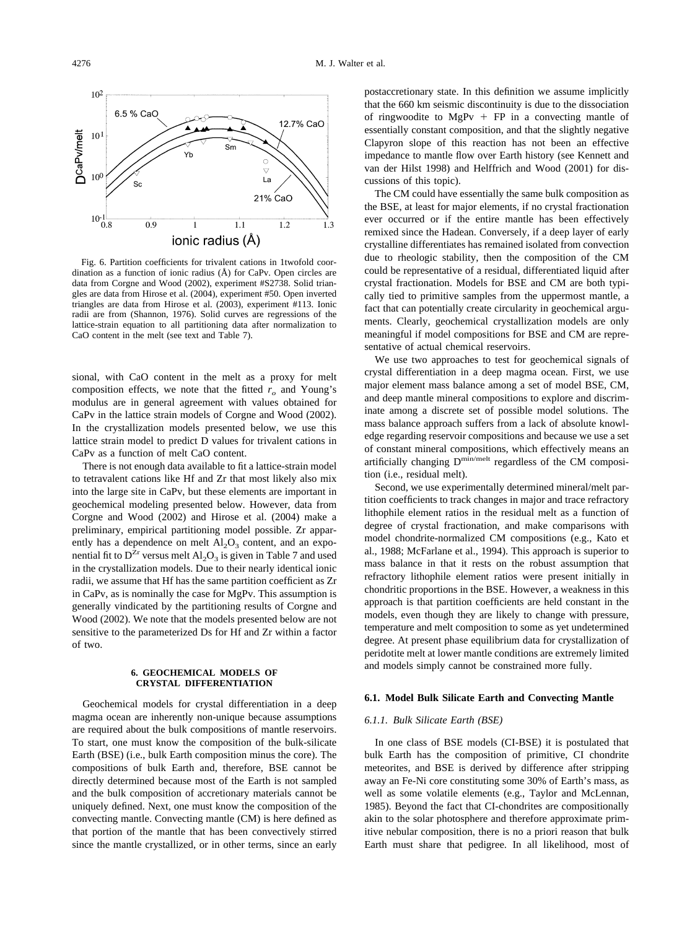<span id="page-9-0"></span>

Fig. 6. Partition coefficients for trivalent cations in 1twofold coordination as a function of ionic radius (Å) for CaPv. Open circles are data from [Corgne and Wood \(2002\),](#page-16-0) experiment #S2738. Solid triangles are data from [Hirose et al. \(2004\),](#page-16-0) experiment #50. Open inverted triangles are data from [Hirose et al. \(2003\),](#page-16-0) experiment #113. Ionic radii are from [\(Shannon, 1976\)](#page-17-0). Solid curves are regressions of the lattice-strain equation to all partitioning data after normalization to CaO content in the melt (see text and [Table 7\)](#page-8-0).

sional, with CaO content in the melt as a proxy for melt composition effects, we note that the fitted  $r<sub>o</sub>$  and Young's modulus are in general agreement with values obtained for CaPv in the lattice strain models of [Corgne and Wood \(2002\).](#page-16-0) In the crystallization models presented below, we use this lattice strain model to predict D values for trivalent cations in CaPv as a function of melt CaO content.

There is not enough data available to fit a lattice-strain model to tetravalent cations like Hf and Zr that most likely also mix into the large site in CaPv, but these elements are important in geochemical modeling presented below. However, data from [Corgne and Wood \(2002\)](#page-16-0) and [Hirose et al. \(2004\)](#page-16-0) make a preliminary, empirical partitioning model possible. Zr apparently has a dependence on melt  $Al_2O_3$  content, and an exponential fit to  $D^{Zr}$  versus melt  $Al_2O_3$  is given in [Table 7](#page-8-0) and used in the crystallization models. Due to their nearly identical ionic radii, we assume that Hf has the same partition coefficient as Zr in CaPv, as is nominally the case for MgPv. This assumption is generally vindicated by the partitioning results of [Corgne and](#page-16-0) [Wood \(2002\).](#page-16-0) We note that the models presented below are not sensitive to the parameterized Ds for Hf and Zr within a factor of two.

# **6. GEOCHEMICAL MODELS OF CRYSTAL DIFFERENTIATION**

Geochemical models for crystal differentiation in a deep magma ocean are inherently non-unique because assumptions are required about the bulk compositions of mantle reservoirs. To start, one must know the composition of the bulk-silicate Earth (BSE) (i.e., bulk Earth composition minus the core). The compositions of bulk Earth and, therefore, BSE cannot be directly determined because most of the Earth is not sampled and the bulk composition of accretionary materials cannot be uniquely defined. Next, one must know the composition of the convecting mantle. Convecting mantle (CM) is here defined as that portion of the mantle that has been convectively stirred since the mantle crystallized, or in other terms, since an early

postaccretionary state. In this definition we assume implicitly that the 660 km seismic discontinuity is due to the dissociation of ringwoodite to MgPv  $+$  FP in a convecting mantle of essentially constant composition, and that the slightly negative Clapyron slope of this reaction has not been an effective impedance to mantle flow over Earth history (see [Kennett and](#page-16-0) [van der Hilst 1998\)](#page-16-0) and [Helffrich and Wood \(2001\)](#page-16-0) for discussions of this topic).

The CM could have essentially the same bulk composition as the BSE, at least for major elements, if no crystal fractionation ever occurred or if the entire mantle has been effectively remixed since the Hadean. Conversely, if a deep layer of early crystalline differentiates has remained isolated from convection due to rheologic stability, then the composition of the CM could be representative of a residual, differentiated liquid after crystal fractionation. Models for BSE and CM are both typically tied to primitive samples from the uppermost mantle, a fact that can potentially create circularity in geochemical arguments. Clearly, geochemical crystallization models are only meaningful if model compositions for BSE and CM are representative of actual chemical reservoirs.

We use two approaches to test for geochemical signals of crystal differentiation in a deep magma ocean. First, we use major element mass balance among a set of model BSE, CM, and deep mantle mineral compositions to explore and discriminate among a discrete set of possible model solutions. The mass balance approach suffers from a lack of absolute knowledge regarding reservoir compositions and because we use a set of constant mineral compositions, which effectively means an artificially changing Dmin/melt regardless of the CM composition (i.e., residual melt).

Second, we use experimentally determined mineral/melt partition coefficients to track changes in major and trace refractory lithophile element ratios in the residual melt as a function of degree of crystal fractionation, and make comparisons with model chondrite-normalized CM compositions (e.g., [Kato et](#page-16-0) [al., 1988;](#page-16-0) [McFarlane et al., 1994\)](#page-17-0). This approach is superior to mass balance in that it rests on the robust assumption that refractory lithophile element ratios were present initially in chondritic proportions in the BSE. However, a weakness in this approach is that partition coefficients are held constant in the models, even though they are likely to change with pressure, temperature and melt composition to some as yet undetermined degree. At present phase equilibrium data for crystallization of peridotite melt at lower mantle conditions are extremely limited and models simply cannot be constrained more fully.

# **6.1. Model Bulk Silicate Earth and Convecting Mantle**

#### *6.1.1. Bulk Silicate Earth (BSE)*

In one class of BSE models (CI-BSE) it is postulated that bulk Earth has the composition of primitive, CI chondrite meteorites, and BSE is derived by difference after stripping away an Fe-Ni core constituting some 30% of Earth's mass, as well as some volatile elements (e.g., [Taylor and McLennan,](#page-17-0) [1985\)](#page-17-0). Beyond the fact that CI-chondrites are compositionally akin to the solar photosphere and therefore approximate primitive nebular composition, there is no a priori reason that bulk Earth must share that pedigree. In all likelihood, most of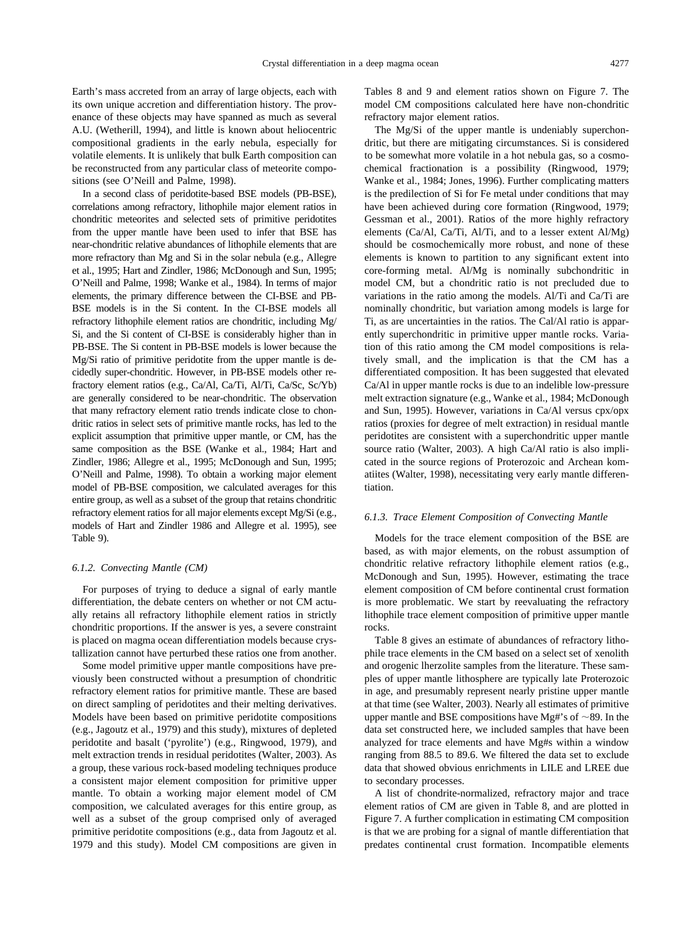Earth's mass accreted from an array of large objects, each with its own unique accretion and differentiation history. The provenance of these objects may have spanned as much as several A.U. [\(Wetherill, 1994\)](#page-17-0), and little is known about heliocentric compositional gradients in the early nebula, especially for volatile elements. It is unlikely that bulk Earth composition can be reconstructed from any particular class of meteorite compositions (see [O'Neill and Palme, 1998\)](#page-17-0).

In a second class of peridotite-based BSE models (PB-BSE), correlations among refractory, lithophile major element ratios in chondritic meteorites and selected sets of primitive peridotites from the upper mantle have been used to infer that BSE has near-chondritic relative abundances of lithophile elements that are more refractory than Mg and Si in the solar nebula (e.g., [Allegre](#page-16-0) [et al., 1995; Hart and Zindler, 1986;](#page-16-0) [McDonough and Sun, 1995;](#page-17-0) [O'Neill and Palme, 1998; Wanke et al., 1984\)](#page-17-0). In terms of major elements, the primary difference between the CI-BSE and PB-BSE models is in the Si content. In the CI-BSE models all refractory lithophile element ratios are chondritic, including Mg/ Si, and the Si content of CI-BSE is considerably higher than in PB-BSE. The Si content in PB-BSE models is lower because the Mg/Si ratio of primitive peridotite from the upper mantle is decidedly super-chondritic. However, in PB-BSE models other refractory element ratios (e.g., Ca/Al, Ca/Ti, Al/Ti, Ca/Sc, Sc/Yb) are generally considered to be near-chondritic. The observation that many refractory element ratio trends indicate close to chondritic ratios in select sets of primitive mantle rocks, has led to the explicit assumption that primitive upper mantle, or CM, has the same composition as the BSE [\(Wanke et al., 1984;](#page-17-0) [Hart and](#page-16-0) [Zindler, 1986; Allegre et al., 1995;](#page-16-0) [McDonough and Sun, 1995;](#page-17-0) [O'Neill and Palme, 1998\)](#page-17-0). To obtain a working major element model of PB-BSE composition, we calculated averages for this entire group, as well as a subset of the group that retains chondritic refractory element ratios for all major elements except Mg/Si (e.g., models of [Hart and Zindler 1986](#page-16-0) and [Allegre et al. 1995\)](#page-16-0), see [Table 9\)](#page-11-0).

### *6.1.2. Convecting Mantle (CM)*

For purposes of trying to deduce a signal of early mantle differentiation, the debate centers on whether or not CM actually retains all refractory lithophile element ratios in strictly chondritic proportions. If the answer is yes, a severe constraint is placed on magma ocean differentiation models because crystallization cannot have perturbed these ratios one from another.

Some model primitive upper mantle compositions have previously been constructed without a presumption of chondritic refractory element ratios for primitive mantle. These are based on direct sampling of peridotites and their melting derivatives. Models have been based on primitive peridotite compositions (e.g., [Jagoutz et al., 1979\)](#page-16-0) and this study), mixtures of depleted peridotite and basalt ('pyrolite') (e.g., [Ringwood, 1979\)](#page-17-0), and melt extraction trends in residual peridotites [\(Walter, 2003\)](#page-16-0). As a group, these various rock-based modeling techniques produce a consistent major element composition for primitive upper mantle. To obtain a working major element model of CM composition, we calculated averages for this entire group, as well as a subset of the group comprised only of averaged primitive peridotite compositions (e.g., data from [Jagoutz et al.](#page-16-0) [1979](#page-16-0) and this study). Model CM compositions are given in

[Tables 8](#page-11-0) and [9](#page-11-0) and element ratios shown on [Figure 7.](#page-12-0) The model CM compositions calculated here have non-chondritic refractory major element ratios.

The Mg/Si of the upper mantle is undeniably superchondritic, but there are mitigating circumstances. Si is considered to be somewhat more volatile in a hot nebula gas, so a cosmochemical fractionation is a possibility [\(Ringwood, 1979;](#page-17-0) [Wanke et al., 1984;](#page-17-0) [Jones, 1996\)](#page-16-0). Further complicating matters is the predilection of Si for Fe metal under conditions that may have been achieved during core formation [\(Ringwood, 1979;](#page-17-0) [Gessman et al., 2001\)](#page-16-0). Ratios of the more highly refractory elements (Ca/Al, Ca/Ti, Al/Ti, and to a lesser extent Al/Mg) should be cosmochemically more robust, and none of these elements is known to partition to any significant extent into core-forming metal. Al/Mg is nominally subchondritic in model CM, but a chondritic ratio is not precluded due to variations in the ratio among the models. Al/Ti and Ca/Ti are nominally chondritic, but variation among models is large for Ti, as are uncertainties in the ratios. The Cal/Al ratio is apparently superchondritic in primitive upper mantle rocks. Variation of this ratio among the CM model compositions is relatively small, and the implication is that the CM has a differentiated composition. It has been suggested that elevated Ca/Al in upper mantle rocks is due to an indelible low-pressure melt extraction signature (e.g., [Wanke et al., 1984; McDonough](#page-17-0) [and Sun, 1995\)](#page-17-0). However, variations in Ca/Al versus cpx/opx ratios (proxies for degree of melt extraction) in residual mantle peridotites are consistent with a superchondritic upper mantle source ratio [\(Walter, 2003\)](#page-16-0). A high Ca/Al ratio is also implicated in the source regions of Proterozoic and Archean komatiites [\(Walter, 1998\)](#page-17-0), necessitating very early mantle differentiation.

#### *6.1.3. Trace Element Composition of Convecting Mantle*

Models for the trace element composition of the BSE are based, as with major elements, on the robust assumption of chondritic relative refractory lithophile element ratios (e.g., [McDonough and Sun, 1995\)](#page-17-0). However, estimating the trace element composition of CM before continental crust formation is more problematic. We start by reevaluating the refractory lithophile trace element composition of primitive upper mantle rocks.

[Table 8](#page-11-0) gives an estimate of abundances of refractory lithophile trace elements in the CM based on a select set of xenolith and orogenic lherzolite samples from the literature. These samples of upper mantle lithosphere are typically late Proterozoic in age, and presumably represent nearly pristine upper mantle at that time (see [Walter, 2003\)](#page-16-0). Nearly all estimates of primitive upper mantle and BSE compositions have Mg#'s of  $\sim$ 89. In the data set constructed here, we included samples that have been analyzed for trace elements and have Mg#s within a window ranging from 88.5 to 89.6. We filtered the data set to exclude data that showed obvious enrichments in LILE and LREE due to secondary processes.

A list of chondrite-normalized, refractory major and trace element ratios of CM are given in [Table 8,](#page-11-0) and are plotted in [Figure 7.](#page-12-0) A further complication in estimating CM composition is that we are probing for a signal of mantle differentiation that predates continental crust formation. Incompatible elements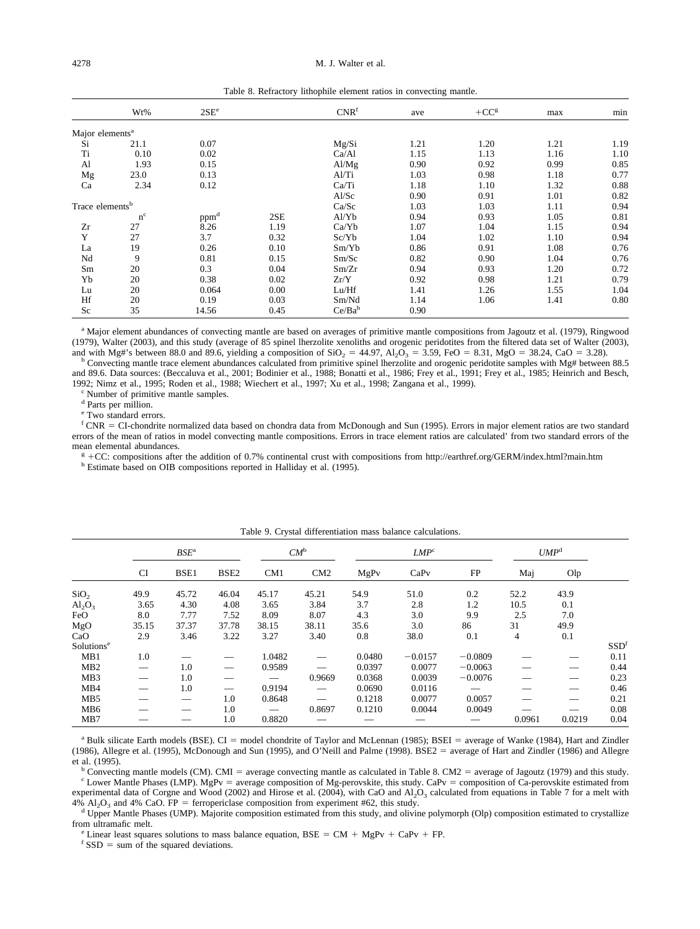<span id="page-11-0"></span>

|                             |           |                  |      |                  | ~    |        |      |      |
|-----------------------------|-----------|------------------|------|------------------|------|--------|------|------|
|                             | Wt%       | 2SE <sup>e</sup> |      | CNR <sup>f</sup> | ave  | $+CCg$ | max  | min  |
| Major elements <sup>a</sup> |           |                  |      |                  |      |        |      |      |
| Si                          | 21.1      | 0.07             |      | Mg/Si            | 1.21 | 1.20   | 1.21 | 1.19 |
| Ti                          | 0.10      | 0.02             |      | Ca/A1            | 1.15 | 1.13   | 1.16 | 1.10 |
| Al                          | 1.93      | 0.15             |      | Al/Mg            | 0.90 | 0.92   | 0.99 | 0.85 |
| Mg                          | 23.0      | 0.13             |      | Al/Ti            | 1.03 | 0.98   | 1.18 | 0.77 |
| Ca                          | 2.34      | 0.12             |      | Ca/Ti            | 1.18 | 1.10   | 1.32 | 0.88 |
|                             |           |                  |      | Al/Sc            | 0.90 | 0.91   | 1.01 | 0.82 |
| Trace elements <sup>b</sup> |           |                  |      | Ca/Sc            | 1.03 | 1.03   | 1.11 | 0.94 |
|                             | $\rm n^c$ | ppm <sup>d</sup> | 2SE  | Al/Yb            | 0.94 | 0.93   | 1.05 | 0.81 |
| Zr                          | 27        | 8.26             | 1.19 | Ca/Yb            | 1.07 | 1.04   | 1.15 | 0.94 |
| Y                           | 27        | 3.7              | 0.32 | Sc/Yb            | 1.04 | 1.02   | 1.10 | 0.94 |
| La                          | 19        | 0.26             | 0.10 | Sm/Yb            | 0.86 | 0.91   | 1.08 | 0.76 |
| Nd                          | 9         | 0.81             | 0.15 | Sm/Sc            | 0.82 | 0.90   | 1.04 | 0.76 |
| Sm                          | 20        | 0.3              | 0.04 | Sm/Zr            | 0.94 | 0.93   | 1.20 | 0.72 |
| Yb                          | 20        | 0.38             | 0.02 | Zr/Y             | 0.92 | 0.98   | 1.21 | 0.79 |
| Lu                          | 20        | 0.064            | 0.00 | Lu/Hf            | 1.41 | 1.26   | 1.55 | 1.04 |
| Hf                          | 20        | 0.19             | 0.03 | Sm/Nd            | 1.14 | 1.06   | 1.41 | 0.80 |
| Sc                          | 35        | 14.56            | 0.45 | $Ce/Ba^h$        | 0.90 |        |      |      |

Table 8. Refractory lithophile element ratios in convecting mantle.

<sup>a</sup> Major element abundances of convecting mantle are based on averages of primitive mantle compositions from Jagoutz et al. (1979), Ringwood (1979), Walter (2003), and this study (average of 85 spinel lherzolite xenoliths and orogenic peridotites from the filtered data set of Walter (2003), and with Mg#'s between 88.0 and 89.6, yielding a composition of  $SiO_2 =$ 

<sup>b</sup> Convecting mantle trace element abundances calculated from primitive spinel lherzolite and orogenic peridotite samples with Mg# between 88.5 and 89.6. Data sources: (Beccaluva et al., 2001; Bodinier et al., 1988; Bonatti et al., 1986; Frey et al., 1991; Frey et al., 1985; Heinrich and Besch, 1992; Nimz et al., 1995; Roden et al., 1988; Wiechert et al., 1997; Xu et al., 1998; Zangana et al., 1999). <sup>c</sup> Number of primitive mantle samples.

<sup>d</sup> Parts per million.

<sup>e</sup> Two standard errors.

f CNR = CI-chondrite normalized data based on chondra data from McDonough and Sun (1995). Errors in major element ratios are two standard errors of the mean of ratios in model convecting mantle compositions. Errors in trace element ratios are calculated' from two standard errors of the

mean elemental abundances.<br> $g + CC$ : compositions after  $E^{\text{g}}$  +CC: compositions after the addition of 0.7% continental crust with compositions from<http://earthref.org/GERM/index.html?main.htm> h Estimate based on OIB compositions reported in Halliday et al. (1995).

|                        | Table 9. Crystal differentiation mass balance calculations. |         |                  |        |        |        |                  |           |                  |        |                  |
|------------------------|-------------------------------------------------------------|---------|------------------|--------|--------|--------|------------------|-----------|------------------|--------|------------------|
|                        |                                                             | $BSE^a$ |                  |        | $CM^b$ |        | LMP <sup>c</sup> |           | UMP <sup>d</sup> |        |                  |
|                        | <b>CI</b>                                                   | BSE1    | BSE <sub>2</sub> | CM1    | CM2    | MgPv   | CaPv             | FP        | Maj              | Olp    |                  |
| SiO <sub>2</sub>       | 49.9                                                        | 45.72   | 46.04            | 45.17  | 45.21  | 54.9   | 51.0             | 0.2       | 52.2             | 43.9   |                  |
| $Al_2O_3$              | 3.65                                                        | 4.30    | 4.08             | 3.65   | 3.84   | 3.7    | 2.8              | 1.2       | 10.5             | 0.1    |                  |
| FeO                    | 8.0                                                         | 7.77    | 7.52             | 8.09   | 8.07   | 4.3    | 3.0              | 9.9       | 2.5              | 7.0    |                  |
| MgO                    | 35.15                                                       | 37.37   | 37.78            | 38.15  | 38.11  | 35.6   | 3.0              | 86        | 31               | 49.9   |                  |
| CaO                    | 2.9                                                         | 3.46    | 3.22             | 3.27   | 3.40   | 0.8    | 38.0             | 0.1       | 4                | 0.1    |                  |
| Solutions <sup>e</sup> |                                                             |         |                  |        |        |        |                  |           |                  |        | SSD <sup>f</sup> |
| MB1                    | 1.0                                                         |         |                  | 1.0482 |        | 0.0480 | $-0.0157$        | $-0.0809$ |                  |        | 0.11             |
| MB <sub>2</sub>        |                                                             | 1.0     |                  | 0.9589 |        | 0.0397 | 0.0077           | $-0.0063$ |                  |        | 0.44             |
| MB3                    |                                                             | 1.0     |                  |        | 0.9669 | 0.0368 | 0.0039           | $-0.0076$ |                  |        | 0.23             |
| MB4                    |                                                             | 1.0     |                  | 0.9194 |        | 0.0690 | 0.0116           |           |                  |        | 0.46             |
| MB <sub>5</sub>        |                                                             |         | 1.0              | 0.8648 |        | 0.1218 | 0.0077           | 0.0057    |                  |        | 0.21             |
| MB <sub>6</sub>        |                                                             |         | 1.0              |        | 0.8697 | 0.1210 | 0.0044           | 0.0049    |                  |        | 0.08             |
| MB7                    |                                                             |         | 1.0              | 0.8820 |        |        |                  |           | 0.0961           | 0.0219 | 0.04             |

|  |  |  | Table 9. Crystal differentiation mass balance calculations. |  |  |  |
|--|--|--|-------------------------------------------------------------|--|--|--|
|--|--|--|-------------------------------------------------------------|--|--|--|

 $a$  Bulk silicate Earth models (BSE). CI = model chondrite of Taylor and McLennan (1985); BSEI = average of Wanke (1984), Hart and Zindler (1986), Allegre et al. (1995), McDonough and Sun (1995), and O'Neill and Palme (1998). BSE2 = average of Hart and Zindler (1986) and Allegre et al. (1995).

<sup>b</sup> Convecting mantle models (CM). CMI = average convecting mantle as calculated in Table 8. CM2 = average of Jagoutz (1979) and this study. <sup>c</sup> Lower Mantle Phases (LMP). MgPv = average composition of Mg-perovskite, this experimental data of Corgne and Wood (2002) and Hirose et al. (2004), with CaO and Al<sub>2</sub>O<sub>3</sub> calculated from equations in [Table 7](#page-8-0) for a melt with 4% Al<sub>2</sub>O<sub>3</sub> and 4% CaO. FP = ferropericlase composition from experiment #6

<sup>d</sup> Upper Mantle Phases (UMP). Majorite composition estimated from this study, and olivine polymorph (Olp) composition estimated to crystallize from ultramafic melt. from ultramafic melt.<br>
<sup>e</sup> Linear least squares solutions to mass balance equation, BSE = CM + MgPv + CaPv + FP.<br>
<sup>f</sup> SSD = sum of the squared deviations.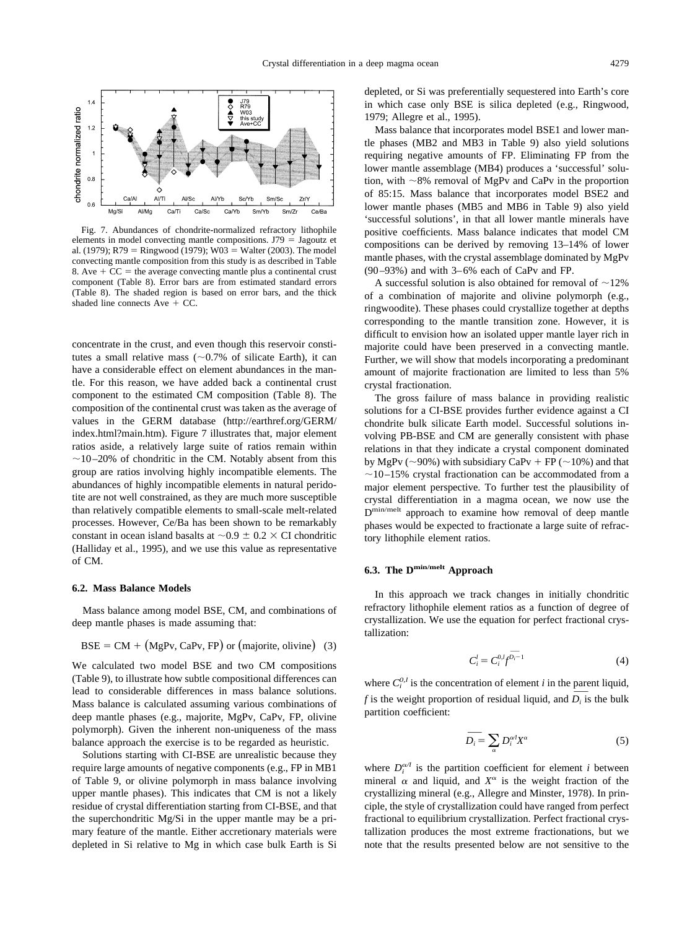<span id="page-12-0"></span>

Fig. 7. Abundances of chondrite-normalized refractory lithophile elements in model convecting mantle compositions.  $J79 =$  [Jagoutz et](#page-16-0) [al. \(1979\);](#page-16-0) R79 = [Ringwood \(1979\);](#page-17-0) W03 = [Walter \(2003\).](#page-16-0) The model convecting mantle composition from this study is as described in [Table](#page-11-0) [8.](#page-11-0) Ave  $+CC$  = the average convecting mantle plus a continental crust component [\(Table 8\)](#page-11-0). Error bars are from estimated standard errors [\(Table 8\)](#page-11-0). The shaded region is based on error bars, and the thick shaded line connects  $Ave + CC$ .

concentrate in the crust, and even though this reservoir constitutes a small relative mass  $(\sim 0.7\%$  of silicate Earth), it can have a considerable effect on element abundances in the mantle. For this reason, we have added back a continental crust component to the estimated CM composition [\(Table 8\)](#page-11-0). The composition of the continental crust was taken as the average of values in the GERM database [\(http://earthref.org/GERM/](http://earthref.org/GERM/index.html?main.htm) [index.html?main.htm\)](http://earthref.org/GERM/index.html?main.htm). Figure 7 illustrates that, major element ratios aside, a relatively large suite of ratios remain within  $\sim$ 10–20% of chondritic in the CM. Notably absent from this group are ratios involving highly incompatible elements. The abundances of highly incompatible elements in natural peridotite are not well constrained, as they are much more susceptible than relatively compatible elements to small-scale melt-related processes. However, Ce/Ba has been shown to be remarkably constant in ocean island basalts at  $\sim 0.9 \pm 0.2 \times \text{CI}$  chondritic [\(Halliday et al., 1995\)](#page-16-0), and we use this value as representative of CM.

### **6.2. Mass Balance Models**

Mass balance among model BSE, CM, and combinations of deep mantle phases is made assuming that:

$$
BSE = CM + (MgPv, CaPv, FP) \text{ or } (majorite, obivine) \quad (3)
$$

We calculated two model BSE and two CM compositions [\(Table 9\)](#page-11-0), to illustrate how subtle compositional differences can lead to considerable differences in mass balance solutions. Mass balance is calculated assuming various combinations of deep mantle phases (e.g., majorite, MgPv, CaPv, FP, olivine polymorph). Given the inherent non-uniqueness of the mass balance approach the exercise is to be regarded as heuristic.

Solutions starting with CI-BSE are unrealistic because they require large amounts of negative components (e.g., FP in MB1 of [Table 9,](#page-11-0) or olivine polymorph in mass balance involving upper mantle phases). This indicates that CM is not a likely residue of crystal differentiation starting from CI-BSE, and that the superchondritic Mg/Si in the upper mantle may be a primary feature of the mantle. Either accretionary materials were depleted in Si relative to Mg in which case bulk Earth is Si

depleted, or Si was preferentially sequestered into Earth's core in which case only BSE is silica depleted (e.g., [Ringwood,](#page-17-0) [1979;](#page-17-0) [Allegre et al., 1995\)](#page-16-0).

Mass balance that incorporates model BSE1 and lower mantle phases (MB2 and MB3 in [Table 9\)](#page-11-0) also yield solutions requiring negative amounts of FP. Eliminating FP from the lower mantle assemblage (MB4) produces a 'successful' solution, with  $\sim$ 8% removal of MgPv and CaPv in the proportion of 85:15. Mass balance that incorporates model BSE2 and lower mantle phases (MB5 and MB6 in [Table 9\)](#page-11-0) also yield 'successful solutions', in that all lower mantle minerals have positive coefficients. Mass balance indicates that model CM compositions can be derived by removing 13–14% of lower mantle phases, with the crystal assemblage dominated by MgPv (90–93%) and with 3–6% each of CaPv and FP.

A successful solution is also obtained for removal of  $\sim$ 12% of a combination of majorite and olivine polymorph (e.g., ringwoodite). These phases could crystallize together at depths corresponding to the mantle transition zone. However, it is difficult to envision how an isolated upper mantle layer rich in majorite could have been preserved in a convecting mantle. Further, we will show that models incorporating a predominant amount of majorite fractionation are limited to less than 5% crystal fractionation.

The gross failure of mass balance in providing realistic solutions for a CI-BSE provides further evidence against a CI chondrite bulk silicate Earth model. Successful solutions involving PB-BSE and CM are generally consistent with phase relations in that they indicate a crystal component dominated by MgPv ( $\sim$ 90%) with subsidiary CaPv + FP ( $\sim$ 10%) and that  $\sim$ 10–15% crystal fractionation can be accommodated from a major element perspective. To further test the plausibility of crystal differentiation in a magma ocean, we now use the Dmin/melt approach to examine how removal of deep mantle phases would be expected to fractionate a large suite of refractory lithophile element ratios.

# **6.3. The Dmin/melt Approach**

In this approach we track changes in initially chondritic refractory lithophile element ratios as a function of degree of crystallization. We use the equation for perfect fractional crystallization:

$$
C_i^l = C_i^{0,l} f^{\overline{D_i} - 1} \tag{4}
$$

where  $C_i^{0,l}$  is the concentration of element *i* in the parent liquid, *f* is the weight proportion of residual liquid, and  $\overline{D_i}$  is the bulk partition coefficient:

$$
\overline{D_i} = \sum_{\alpha} D_i^{\alpha i} X^{\alpha} \tag{5}
$$

where  $D_i^{\alpha\alpha}$  is the partition coefficient for element *i* between mineral  $\alpha$  and liquid, and  $X^{\alpha}$  is the weight fraction of the crystallizing mineral (e.g., [Allegre and Minster, 1978\)](#page-16-0). In principle, the style of crystallization could have ranged from perfect fractional to equilibrium crystallization. Perfect fractional crystallization produces the most extreme fractionations, but we note that the results presented below are not sensitive to the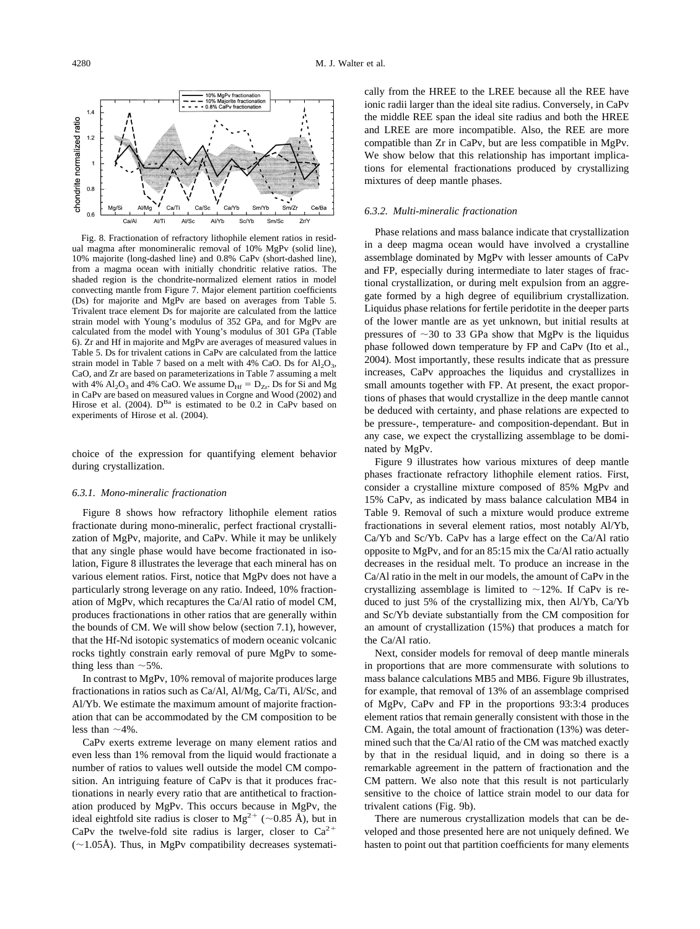<span id="page-13-0"></span>

Fig. 8. Fractionation of refractory lithophile element ratios in residual magma after monomineralic removal of 10% MgPv (solid line), 10% majorite (long-dashed line) and 0.8% CaPv (short-dashed line), from a magma ocean with initially chondritic relative ratios. The shaded region is the chondrite-normalized element ratios in model convecting mantle from [Figure 7.](#page-12-0) Major element partition coefficients (Ds) for majorite and MgPv are based on averages from [Table 5.](#page-5-0) Trivalent trace element Ds for majorite are calculated from the lattice strain model with Young's modulus of 352 GPa, and for MgPv are calculated from the model with Young's modulus of 301 GPa [\(Table](#page-7-0) [6\)](#page-7-0). Zr and Hf in majorite and MgPv are averages of measured values in [Table 5.](#page-5-0) Ds for trivalent cations in CaPv are calculated from the lattice strain model in [Table 7](#page-8-0) based on a melt with 4% CaO. Ds for  $Al_2O_3$ , CaO, and Zr are based on parameterizations in [Table 7](#page-8-0) assuming a melt with 4%  $Al_2O_3$  and 4% CaO. We assume  $D_{\text{Hf}} = D_{\text{Zr}}$ . Ds for Si and Mg in CaPv are based on measured values in [Corgne and Wood \(2002\)](#page-16-0) and [Hirose et al. \(2004\).](#page-16-0)  $D^{Ba}$  is estimated to be 0.2 in CaPv based on experiments of [Hirose et al. \(2004\).](#page-16-0)

choice of the expression for quantifying element behavior during crystallization.

#### *6.3.1. Mono-mineralic fractionation*

Figure 8 shows how refractory lithophile element ratios fractionate during mono-mineralic, perfect fractional crystallization of MgPv, majorite, and CaPv. While it may be unlikely that any single phase would have become fractionated in isolation, Figure 8 illustrates the leverage that each mineral has on various element ratios. First, notice that MgPv does not have a particularly strong leverage on any ratio. Indeed, 10% fractionation of MgPv, which recaptures the Ca/Al ratio of model CM, produces fractionations in other ratios that are generally within the bounds of CM. We will show below (section 7.1), however, that the Hf-Nd isotopic systematics of modern oceanic volcanic rocks tightly constrain early removal of pure MgPv to something less than  $\sim$  5%.

In contrast to MgPv, 10% removal of majorite produces large fractionations in ratios such as Ca/Al, Al/Mg, Ca/Ti, Al/Sc, and Al/Yb. We estimate the maximum amount of majorite fractionation that can be accommodated by the CM composition to be less than  $\sim$ 4%.

CaPv exerts extreme leverage on many element ratios and even less than 1% removal from the liquid would fractionate a number of ratios to values well outside the model CM composition. An intriguing feature of CaPv is that it produces fractionations in nearly every ratio that are antithetical to fractionation produced by MgPv. This occurs because in MgPv, the ideal eightfold site radius is closer to  $Mg^{2+}$  (~0.85 Å), but in CaPv the twelve-fold site radius is larger, closer to  $Ca^{2+}$  $(\sim 1.05\text{\AA})$ . Thus, in MgPv compatibility decreases systematically from the HREE to the LREE because all the REE have ionic radii larger than the ideal site radius. Conversely, in CaPv the middle REE span the ideal site radius and both the HREE and LREE are more incompatible. Also, the REE are more compatible than Zr in CaPv, but are less compatible in MgPv. We show below that this relationship has important implications for elemental fractionations produced by crystallizing mixtures of deep mantle phases.

### *6.3.2. Multi-mineralic fractionation*

Phase relations and mass balance indicate that crystallization in a deep magma ocean would have involved a crystalline assemblage dominated by MgPv with lesser amounts of CaPv and FP, especially during intermediate to later stages of fractional crystallization, or during melt expulsion from an aggregate formed by a high degree of equilibrium crystallization. Liquidus phase relations for fertile peridotite in the deeper parts of the lower mantle are as yet unknown, but initial results at pressures of  $\sim$ 30 to 33 GPa show that MgPv is the liquidus phase followed down temperature by FP and CaPv [\(Ito et al.,](#page-16-0) [2004\)](#page-16-0). Most importantly, these results indicate that as pressure increases, CaPv approaches the liquidus and crystallizes in small amounts together with FP. At present, the exact proportions of phases that would crystallize in the deep mantle cannot be deduced with certainty, and phase relations are expected to be pressure-, temperature- and composition-dependant. But in any case, we expect the crystallizing assemblage to be dominated by MgPv.

[Figure 9](#page-14-0) illustrates how various mixtures of deep mantle phases fractionate refractory lithophile element ratios. First, consider a crystalline mixture composed of 85% MgPv and 15% CaPv, as indicated by mass balance calculation MB4 in [Table 9.](#page-11-0) Removal of such a mixture would produce extreme fractionations in several element ratios, most notably Al/Yb, Ca/Yb and Sc/Yb. CaPv has a large effect on the Ca/Al ratio opposite to MgPv, and for an 85:15 mix the Ca/Al ratio actually decreases in the residual melt. To produce an increase in the Ca/Al ratio in the melt in our models, the amount of CaPv in the crystallizing assemblage is limited to  $\sim$ 12%. If CaPv is reduced to just 5% of the crystallizing mix, then Al/Yb, Ca/Yb and Sc/Yb deviate substantially from the CM composition for an amount of crystallization (15%) that produces a match for the Ca/Al ratio.

Next, consider models for removal of deep mantle minerals in proportions that are more commensurate with solutions to mass balance calculations MB5 and MB6. [Figure 9b](#page-14-0) illustrates, for example, that removal of 13% of an assemblage comprised of MgPv, CaPv and FP in the proportions 93:3:4 produces element ratios that remain generally consistent with those in the CM. Again, the total amount of fractionation (13%) was determined such that the Ca/Al ratio of the CM was matched exactly by that in the residual liquid, and in doing so there is a remarkable agreement in the pattern of fractionation and the CM pattern. We also note that this result is not particularly sensitive to the choice of lattice strain model to our data for trivalent cations [\(Fig. 9b\)](#page-14-0).

There are numerous crystallization models that can be developed and those presented here are not uniquely defined. We hasten to point out that partition coefficients for many elements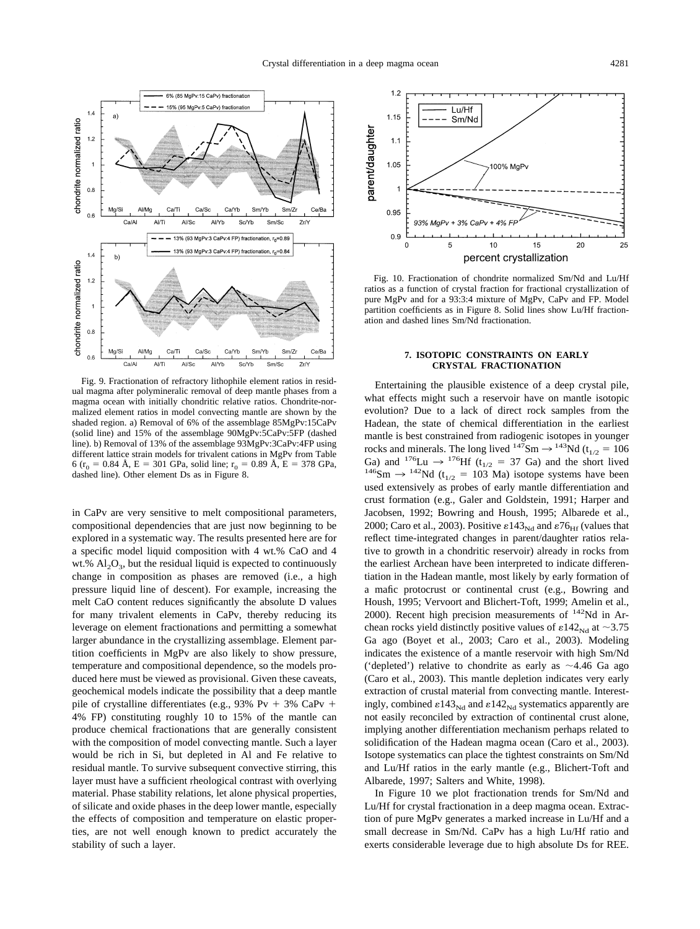<span id="page-14-0"></span>

Fig. 9. Fractionation of refractory lithophile element ratios in residual magma after polymineralic removal of deep mantle phases from a magma ocean with initially chondritic relative ratios. Chondrite-normalized element ratios in model convecting mantle are shown by the shaded region. a) Removal of 6% of the assemblage 85MgPv:15CaPv (solid line) and 15% of the assemblage 90MgPv:5CaPv:5FP (dashed line). b) Removal of 13% of the assemblage 93MgPv:3CaPv:4FP using different lattice strain models for trivalent cations in MgPv from [Table](#page-7-0) [6](#page-7-0) ( $r_0$  = 0.84 Å, E = 301 GPa, solid line;  $r_0$  = 0.89 Å, E = 378 GPa, dashed line). Other element Ds as in [Figure 8.](#page-13-0)

in CaPv are very sensitive to melt compositional parameters, compositional dependencies that are just now beginning to be explored in a systematic way. The results presented here are for a specific model liquid composition with 4 wt.% CaO and 4 wt.%  $Al_2O_3$ , but the residual liquid is expected to continuously change in composition as phases are removed (i.e., a high pressure liquid line of descent). For example, increasing the melt CaO content reduces significantly the absolute D values for many trivalent elements in CaPv, thereby reducing its leverage on element fractionations and permitting a somewhat larger abundance in the crystallizing assemblage. Element partition coefficients in MgPv are also likely to show pressure, temperature and compositional dependence, so the models produced here must be viewed as provisional. Given these caveats, geochemical models indicate the possibility that a deep mantle pile of crystalline differentiates (e.g.,  $93\% \text{ Pv} + 3\% \text{ CaPv} +$ 4% FP) constituting roughly 10 to 15% of the mantle can produce chemical fractionations that are generally consistent with the composition of model convecting mantle. Such a layer would be rich in Si, but depleted in Al and Fe relative to residual mantle. To survive subsequent convective stirring, this layer must have a sufficient rheological contrast with overlying material. Phase stability relations, let alone physical properties, of silicate and oxide phases in the deep lower mantle, especially the effects of composition and temperature on elastic properties, are not well enough known to predict accurately the stability of such a layer.



Fig. 10. Fractionation of chondrite normalized Sm/Nd and Lu/Hf ratios as a function of crystal fraction for fractional crystallization of pure MgPv and for a 93:3:4 mixture of MgPv, CaPv and FP. Model partition coefficients as in [Figure 8.](#page-13-0) Solid lines show Lu/Hf fractionation and dashed lines Sm/Nd fractionation.

#### **7. ISOTOPIC CONSTRAINTS ON EARLY CRYSTAL FRACTIONATION**

Entertaining the plausible existence of a deep crystal pile, what effects might such a reservoir have on mantle isotopic evolution? Due to a lack of direct rock samples from the Hadean, the state of chemical differentiation in the earliest mantle is best constrained from radiogenic isotopes in younger rocks and minerals. The long lived  $147$ Sm  $\rightarrow$   $143$ Nd (t<sub>1/2</sub> = 106<br>Ga) and  $176$ Lu  $\rightarrow$   $176$ Hf (t<sub>1/2</sub> = 37 Ga) and the short lived  $^{146}$ Sm  $\rightarrow$   $^{142}$ Nd (t<sub>1/2</sub> = 103 Ma) isotope systems have been used extensively as probes of early mantle differentiation and crust formation (e.g., [Galer and Goldstein, 1991; Harper and](#page-16-0) [Jacobsen, 1992; Bowring and Housh, 1995; Albarede et al.,](#page-16-0) [2000; Caro et al., 2003\)](#page-16-0). Positive  $\epsilon$ 143<sub>Nd</sub> and  $\epsilon$ 76<sub>Hf</sub> (values that reflect time-integrated changes in parent/daughter ratios relative to growth in a chondritic reservoir) already in rocks from the earliest Archean have been interpreted to indicate differentiation in the Hadean mantle, most likely by early formation of a mafic protocrust or continental crust (e.g., [Bowring and](#page-16-0) [Housh, 1995;](#page-16-0) [Vervoort and Blichert-Toft, 1999;](#page-17-0) [Amelin et al.,](#page-16-0) [2000\)](#page-16-0). Recent high precision measurements of  $142$ Nd in Archean rocks yield distinctly positive values of  $\epsilon$ 142<sub>Nd</sub> at ~3.75 Ga ago [\(Boyet et al., 2003; Caro et al., 2003\)](#page-16-0). Modeling indicates the existence of a mantle reservoir with high Sm/Nd ('depleted') relative to chondrite as early as  $\sim$ 4.46 Ga ago [\(Caro et al., 2003\)](#page-16-0). This mantle depletion indicates very early extraction of crustal material from convecting mantle. Interestingly, combined  $\epsilon$ 143<sub>Nd</sub> and  $\epsilon$ 142<sub>Nd</sub> systematics apparently are not easily reconciled by extraction of continental crust alone, implying another differentiation mechanism perhaps related to solidification of the Hadean magma ocean [\(Caro et al., 2003\)](#page-16-0). Isotope systematics can place the tightest constraints on Sm/Nd and Lu/Hf ratios in the early mantle (e.g., [Blichert-Toft and](#page-16-0) [Albarede, 1997;](#page-16-0) [Salters and White, 1998\)](#page-17-0).

In Figure 10 we plot fractionation trends for Sm/Nd and Lu/Hf for crystal fractionation in a deep magma ocean. Extraction of pure MgPv generates a marked increase in Lu/Hf and a small decrease in Sm/Nd. CaPv has a high Lu/Hf ratio and exerts considerable leverage due to high absolute Ds for REE.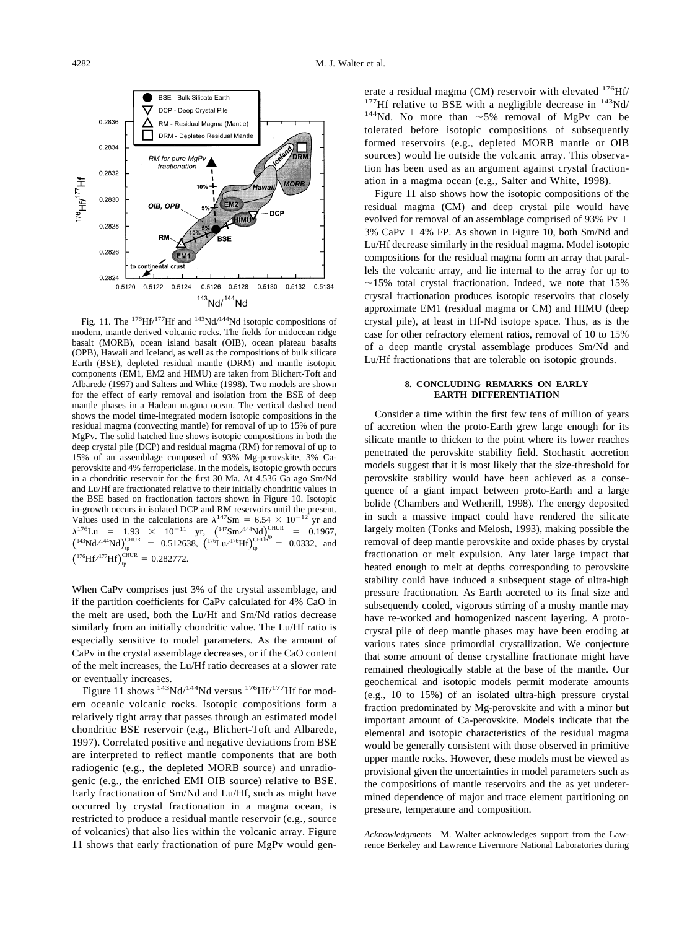

Fig. 11. The  $^{176}$ Hf/<sup>177</sup>Hf and  $^{143}$ Nd/<sup>144</sup>Nd isotopic compositions of modern, mantle derived volcanic rocks. The fields for midocean ridge basalt (MORB), ocean island basalt (OIB), ocean plateau basalts (OPB), Hawaii and Iceland, as well as the compositions of bulk silicate Earth (BSE), depleted residual mantle (DRM) and mantle isotopic components (EM1, EM2 and HIMU) are taken from [Blichert-Toft and](#page-16-0) [Albarede \(1997\)](#page-16-0) and [Salters and White \(1998\).](#page-17-0) Two models are shown for the effect of early removal and isolation from the BSE of deep mantle phases in a Hadean magma ocean. The vertical dashed trend shows the model time-integrated modern isotopic compositions in the residual magma (convecting mantle) for removal of up to 15% of pure MgPv. The solid hatched line shows isotopic compositions in both the deep crystal pile (DCP) and residual magma (RM) for removal of up to 15% of an assemblage composed of 93% Mg-perovskite, 3% Caperovskite and 4% ferropericlase. In the models, isotopic growth occurs in a chondritic reservoir for the first 30 Ma. At 4.536 Ga ago Sm/Nd and Lu/Hf are fractionated relative to their initially chondritic values in the BSE based on fractionation factors shown in [Figure 10.](#page-14-0) Isotopic in-growth occurs in isolated DCP and RM reservoirs until the present. Values used in the calculations are  $\lambda^{147}$ Sm = 6.54  $\times$  10<sup>-12</sup> yr and  $\lambda^{176}$ Lu = 1.93 × 10<sup>-11</sup> yr,  $\left(\frac{147}{3} \text{Sm}/^{144} \text{Nd}\right)_{\text{CF}}^{\text{CHUR}}$  = 0.1967,<br> $\left(\frac{143}{3} \text{Nd}/^{144} \text{Nd}\right)_{\text{tp}}^{\text{CHUR}}$  = 0.512638,  $\left(\frac{176}{1} \text{Lu}/^{176} \text{Hf}\right)_{\text{tp}}^{\text{CHURP}}$  = 0.0332, and  $({}^{176}\text{Hf}/{}^{177}\text{Hf})_{\text{tp}}^{\text{CHUR}} = 0.282772.$ 

When CaPv comprises just 3% of the crystal assemblage, and if the partition coefficients for CaPv calculated for 4% CaO in the melt are used, both the Lu/Hf and Sm/Nd ratios decrease similarly from an initially chondritic value. The Lu/Hf ratio is especially sensitive to model parameters. As the amount of CaPv in the crystal assemblage decreases, or if the CaO content of the melt increases, the Lu/Hf ratio decreases at a slower rate or eventually increases.

Figure 11 shows  $^{143}$ Nd/ $^{144}$ Nd versus  $^{176}$ Hf/ $^{177}$ Hf for modern oceanic volcanic rocks. Isotopic compositions form a relatively tight array that passes through an estimated model chondritic BSE reservoir (e.g., [Blichert-Toft and Albarede,](#page-16-0) [1997\)](#page-16-0). Correlated positive and negative deviations from BSE are interpreted to reflect mantle components that are both radiogenic (e.g., the depleted MORB source) and unradiogenic (e.g., the enriched EMI OIB source) relative to BSE. Early fractionation of Sm/Nd and Lu/Hf, such as might have occurred by crystal fractionation in a magma ocean, is restricted to produce a residual mantle reservoir (e.g., source of volcanics) that also lies within the volcanic array. Figure 11 shows that early fractionation of pure MgPv would generate a residual magma (CM) reservoir with elevated <sup>176</sup>Hf/<br><sup>177</sup>Hf relative to BSE with a negligible decrease in <sup>143</sup>Nd/<br><sup>144</sup>Nd. No more than ~5% removal of MgPv can be tolerated before isotopic compositions of subsequently formed reservoirs (e.g., depleted MORB mantle or OIB sources) would lie outside the volcanic array. This observation has been used as an argument against crystal fractionation in a magma ocean (e.g., [Salter and White, 1998\)](#page-17-0).

Figure 11 also shows how the isotopic compositions of the residual magma (CM) and deep crystal pile would have evolved for removal of an assemblage comprised of  $93\%$  Pv + 3% CaPv - 4% FP. As shown in [Figure 10,](#page-14-0) both Sm/Nd and Lu/Hf decrease similarly in the residual magma. Model isotopic compositions for the residual magma form an array that parallels the volcanic array, and lie internal to the array for up to  $\sim$ 15% total crystal fractionation. Indeed, we note that 15% crystal fractionation produces isotopic reservoirs that closely approximate EM1 (residual magma or CM) and HIMU (deep crystal pile), at least in Hf-Nd isotope space. Thus, as is the case for other refractory element ratios, removal of 10 to 15% of a deep mantle crystal assemblage produces Sm/Nd and Lu/Hf fractionations that are tolerable on isotopic grounds.

### **8. CONCLUDING REMARKS ON EARLY EARTH DIFFERENTIATION**

Consider a time within the first few tens of million of years of accretion when the proto-Earth grew large enough for its silicate mantle to thicken to the point where its lower reaches penetrated the perovskite stability field. Stochastic accretion models suggest that it is most likely that the size-threshold for perovskite stability would have been achieved as a consequence of a giant impact between proto-Earth and a large bolide [\(Chambers and Wetherill, 1998\)](#page-16-0). The energy deposited in such a massive impact could have rendered the silicate largely molten [\(Tonks and Melosh, 1993\)](#page-17-0), making possible the removal of deep mantle perovskite and oxide phases by crystal fractionation or melt expulsion. Any later large impact that heated enough to melt at depths corresponding to perovskite stability could have induced a subsequent stage of ultra-high pressure fractionation. As Earth accreted to its final size and subsequently cooled, vigorous stirring of a mushy mantle may have re-worked and homogenized nascent layering. A protocrystal pile of deep mantle phases may have been eroding at various rates since primordial crystallization. We conjecture that some amount of dense crystalline fractionate might have remained rheologically stable at the base of the mantle. Our geochemical and isotopic models permit moderate amounts (e.g., 10 to 15%) of an isolated ultra-high pressure crystal fraction predominated by Mg-perovskite and with a minor but important amount of Ca-perovskite. Models indicate that the elemental and isotopic characteristics of the residual magma would be generally consistent with those observed in primitive upper mantle rocks. However, these models must be viewed as provisional given the uncertainties in model parameters such as the compositions of mantle reservoirs and the as yet undetermined dependence of major and trace element partitioning on pressure, temperature and composition.

*Acknowledgments*—M. Walter acknowledges support from the Lawrence Berkeley and Lawrence Livermore National Laboratories during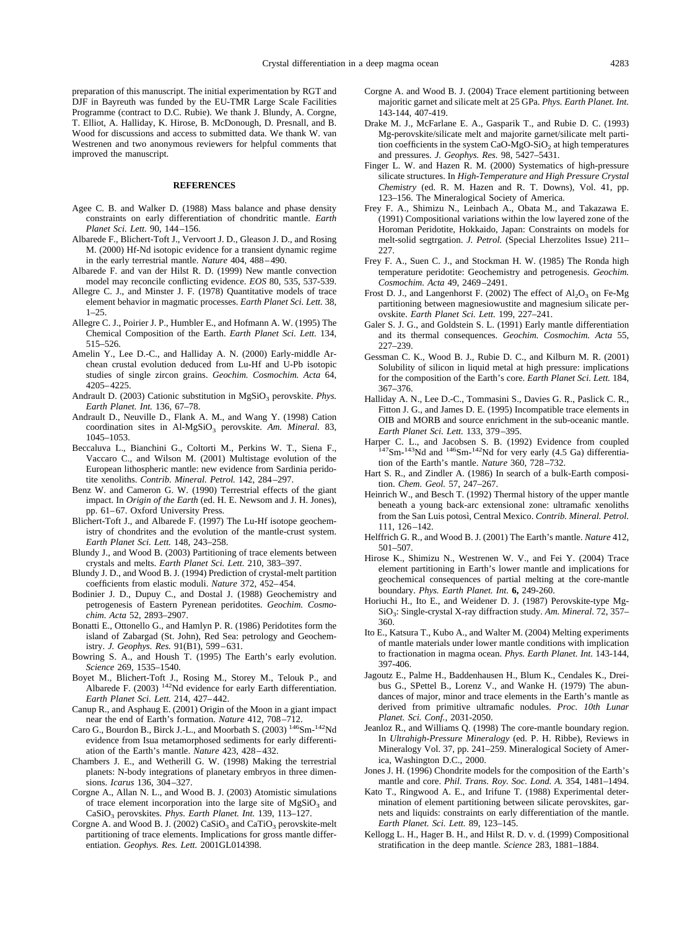<span id="page-16-0"></span>preparation of this manuscript. The initial experimentation by RGT and DJF in Bayreuth was funded by the EU-TMR Large Scale Facilities Programme (contract to D.C. Rubie). We thank J. Blundy, A. Corgne, T. Elliot, A. Halliday, K. Hirose, B. McDonough, D. Presnall, and B. Wood for discussions and access to submitted data. We thank W. van Westrenen and two anonymous reviewers for helpful comments that improved the manuscript.

# **REFERENCES**

- Agee C. B. and Walker D. (1988) Mass balance and phase density constraints on early differentiation of chondritic mantle. *Earth Planet Sci. Lett.* 90, 144–156.
- Albarede F., Blichert-Toft J., Vervoort J. D., Gleason J. D., and Rosing M. (2000) Hf-Nd isotopic evidence for a transient dynamic regime in the early terrestrial mantle. *Nature* 404, 488–490.
- Albarede F. and van der Hilst R. D. (1999) New mantle convection model may reconcile conflicting evidence. *EOS* 80, 535, 537-539.
- Allegre C. J., and Minster J. F. (1978) Quantitative models of trace element behavior in magmatic processes. *Earth Planet Sci. Lett.* 38, 1–25.
- Allegre C. J., Poirier J. P., Humbler E., and Hofmann A. W. (1995) The Chemical Composition of the Earth. *Earth Planet Sci. Lett.* 134, 515–526.
- Amelin Y., Lee D.-C., and Halliday A. N. (2000) Early-middle Archean crustal evolution deduced from Lu-Hf and U-Pb isotopic studies of single zircon grains. *Geochim. Cosmochim. Acta* 64, 4205–4225.
- Andrault D. (2003) Cationic substitution in MgSiO<sub>3</sub> perovskite. *Phys. Earth Planet. Int.* 136, 67–78.
- Andrault D., Neuville D., Flank A. M., and Wang Y. (1998) Cation coordination sites in Al-MgSiO<sub>3</sub> perovskite. Am. Mineral. 83, 1045–1053.
- Beccaluva L., Bianchini G., Coltorti M., Perkins W. T., Siena F., Vaccaro C., and Wilson M. (2001) Multistage evolution of the European lithospheric mantle: new evidence from Sardinia peridotite xenoliths. *Contrib. Mineral. Petrol.* 142, 284–297.
- Benz W. and Cameron G. W. (1990) Terrestrial effects of the giant impact. In *Origin of the Earth* (ed. H. E. Newsom and J. H. Jones), pp. 61–67. Oxford University Press.
- Blichert-Toft J., and Albarede F. (1997) The Lu-Hf isotope geochemistry of chondrites and the evolution of the mantle-crust system. *Earth Planet Sci. Lett.* 148, 243–258.
- Blundy J., and Wood B. (2003) Partitioning of trace elements between crystals and melts. *Earth Planet Sci. Lett.* 210, 383–397.
- Blundy J. D., and Wood B. J. (1994) Prediction of crystal-melt partition coefficients from elastic moduli. *Nature* 372, 452–454.
- Bodinier J. D., Dupuy C., and Dostal J. (1988) Geochemistry and petrogenesis of Eastern Pyrenean peridotites. *Geochim. Cosmochim. Acta* 52, 2893–2907.
- Bonatti E., Ottonello G., and Hamlyn P. R. (1986) Peridotites form the island of Zabargad (St. John), Red Sea: petrology and Geochemistry. *J. Geophys. Res.* 91(B1), 599–631.
- Bowring S. A., and Housh T. (1995) The Earth's early evolution. *Science* 269, 1535–1540.
- Boyet M., Blichert-Toft J., Rosing M., Storey M., Telouk P., and Albarede F. (2003) <sup>142</sup>Nd evidence for early Earth differentiation. *Earth Planet Sci. Lett.* 214, 427–442.
- Canup R., and Asphaug E. (2001) Origin of the Moon in a giant impact near the end of Earth's formation. *Nature* 412, 708–712.
- Caro G., Bourdon B., Birck J.-L., and Moorbath S. (2003) <sup>146</sup>Sm-<sup>142</sup>Nd evidence from Isua metamorphosed sediments for early differentiation of the Earth's mantle. *Nature* 423, 428–432.
- Chambers J. E., and Wetherill G. W. (1998) Making the terrestrial planets: N-body integrations of planetary embryos in three dimensions. *Icarus* 136, 304–327.
- Corgne A., Allan N. L., and Wood B. J. (2003) Atomistic simulations of trace element incorporation into the large site of  $MgSiO<sub>3</sub>$  and CaSiO3 perovskites. *Phys. Earth Planet. Int.* 139, 113–127.
- Corgne A. and Wood B. J. (2002)  $CaSiO<sub>3</sub>$  and  $CaTiO<sub>3</sub>$  perovskite-melt partitioning of trace elements. Implications for gross mantle differentiation. *Geophys. Res. Lett.* 2001GL014398.
- Corgne A. and Wood B. J. (2004) Trace element partitioning between majoritic garnet and silicate melt at 25 GPa. *Phys. Earth Planet. Int.* 143-144, 407-419.
- Drake M. J., McFarlane E. A., Gasparik T., and Rubie D. C. (1993) Mg-perovskite/silicate melt and majorite garnet/silicate melt partition coefficients in the system CaO-MgO-SiO<sub>2</sub> at high temperatures and pressures. *J. Geophys. Res.* 98, 5427–5431.
- Finger L. W. and Hazen R. M. (2000) Systematics of high-pressure silicate structures. In *High-Temperature and High Pressure Crystal Chemistry* (ed. R. M. Hazen and R. T. Downs), Vol. 41, pp. 123–156. The Mineralogical Society of America.
- Frey F. A., Shimizu N., Leinbach A., Obata M., and Takazawa E. (1991) Compositional variations within the low layered zone of the Horoman Peridotite, Hokkaido, Japan: Constraints on models for melt-solid segtrgation. *J. Petrol.* (Special Lherzolites Issue) 211– 227.
- Frey F. A., Suen C. J., and Stockman H. W. (1985) The Ronda high temperature peridotite: Geochemistry and petrogenesis. *Geochim. Cosmochim. Acta* 49, 2469–2491.
- Frost D. J., and Langenhorst F. (2002) The effect of  $\text{Al}_2\text{O}_3$  on Fe-Mg partitioning between magnesiowustite and magnesium silicate perovskite. *Earth Planet Sci. Lett.* 199, 227–241.
- Galer S. J. G., and Goldstein S. L. (1991) Early mantle differentiation and its thermal consequences. *Geochim. Cosmochim. Acta* 55, 227–239.
- Gessman C. K., Wood B. J., Rubie D. C., and Kilburn M. R. (2001) Solubility of silicon in liquid metal at high pressure: implications for the composition of the Earth's core. *Earth Planet Sci. Lett.* 184, 367–376.
- Halliday A. N., Lee D.-C., Tommasini S., Davies G. R., Paslick C. R., Fitton J. G., and James D. E. (1995) Incompatible trace elements in OIB and MORB and source enrichment in the sub-oceanic mantle. *Earth Planet Sci. Lett.* 133, 379–395.
- Harper C. L., and Jacobsen S. B. (1992) Evidence from coupled 147Sm-143Nd and 146Sm-142Nd for very early (4.5 Ga) differentiation of the Earth's mantle. *Nature* 360, 728–732.
- Hart S. R., and Zindler A. (1986) In search of a bulk-Earth composition. *Chem. Geol.* 57, 247–267.
- Heinrich W., and Besch T. (1992) Thermal history of the upper mantle beneath a young back-arc extensional zone: ultramafic xenoliths from the San Luis potosì, Central Mexico. *Contrib. Mineral. Petrol.* 111, 126–142.
- Helffrich G. R., and Wood B. J. (2001) The Earth's mantle. *Nature* 412, 501–507.
- Hirose K., Shimizu N., Westrenen W. V., and Fei Y. (2004) Trace element partitioning in Earth's lower mantle and implications for geochemical consequences of partial melting at the core-mantle boundary. *Phys. Earth Planet. Int.* **6,** 249-260.
- Horiuchi H., Ito E., and Weidener D. J. (1987) Perovskite-type Mg-SiO3: Single-crystal X-ray diffraction study. *Am. Mineral.* 72, 357– 360.
- Ito E., Katsura T., Kubo A., and Walter M. (2004) Melting experiments of mantle materials under lower mantle conditions with implication to fractionation in magma ocean. *Phys. Earth Planet. Int.* 143-144, 397-406.
- Jagoutz E., Palme H., Baddenhausen H., Blum K., Cendales K., Dreibus G., SPettel B., Lorenz V., and Wanke H. (1979) The abundances of major, minor and trace elements in the Earth's mantle as derived from primitive ultramafic nodules. *Proc. 10th Lunar Planet. Sci. Conf.*, 2031-2050.
- Jeanloz R., and Williams Q. (1998) The core-mantle boundary region. In *Ultrahigh-Pressure Mineralogy* (ed. P. H. Ribbe), Reviews in Mineralogy Vol. 37, pp. 241–259. Mineralogical Society of America, Washington D.C., 2000.
- Jones J. H. (1996) Chondrite models for the composition of the Earth's mantle and core. *Phil. Trans. Roy. Soc. Lond. A.* 354, 1481–1494.
- Kato T., Ringwood A. E., and Irifune T. (1988) Experimental determination of element partitioning between silicate perovskites, garnets and liquids: constraints on early differentiation of the mantle. *Earth Planet. Sci. Lett.* 89, 123–145.
- Kellogg L. H., Hager B. H., and Hilst R. D. v. d. (1999) Compositional stratification in the deep mantle. *Science* 283, 1881–1884.